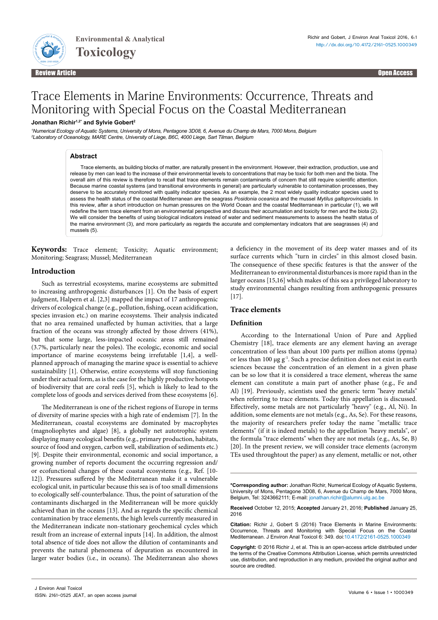

**Environmental & Analytical Toxicology** 

Review Article Changes and the contract of the contract of the contract of the contract of the contract of the contract of the contract of the contract of the contract of the contract of the contract of the contract of the Review Article Open Access

# Trace Elements in Marine Environments: Occurrence, Threats and Monitoring with Special Focus on the Coastal Mediterranean

#### **Jonathan Richir1,2\* and Sylvie Gobert2**

*1 Numerical Ecology of Aquatic Systems, University of Mons, Pentagone 3D08, 6, Avenue du Champ de Mars, 7000 Mons, Belgium 2 Laboratory of Oceanology, MARE Centre, University of Liege, B6C, 4000 Liege, Sart Tilman, Belgium*

#### **Abstract**

Trace elements, as building blocks of matter, are naturally present in the environment. However, their extraction, production, use and release by men can lead to the increase of their environmental levels to concentrations that may be toxic for both men and the biota. The overall aim of this review is therefore to recall that trace elements remain contaminants of concern that still require scientific attention. Because marine coastal systems (and transitional environments in general) are particularly vulnerable to contamination processes, they deserve to be accurately monitored with quality indicator species. As an example, the 2 most widely quality indicator species used to assess the health status of the coastal Mediterranean are the seagrass *Posidonia oceanica* and the mussel *Mytilus galloprovincialis.* In this review, after a short introduction on human pressures on the World Ocean and the coastal Mediterranean in particular (1), we will redefine the term trace element from an environmental perspective and discuss their accumulation and toxicity for men and the biota (2). We will consider the benefits of using biological indicators instead of water and sediment measurements to assess the health status of the marine environment (3), and more particularly as regards the accurate and complementary indicators that are seagrasses (4) and mussels (5).

**Keywords:** Trace element; Toxicity; Aquatic environment; Monitoring; Seagrass; Mussel; Mediterranean

## **Introduction**

Such as terrestrial ecosystems, marine ecosystems are submitted to increasing anthropogenic disturbances [1]. On the basis of expert judgment, Halpern et al. [2,3] mapped the impact of 17 anthropogenic drivers of ecological change (e.g., pollution, fishing, ocean acidification, species invasion etc.) on marine ecosystems. Their analysis indicated that no area remained unaffected by human activities, that a large fraction of the oceans was strongly affected by those drivers (41%), but that some large, less-impacted oceanic areas still remained (3.7%, particularly near the poles). The ecologic, economic and social importance of marine ecosystems being irrefutable [1,4], a wellplanned approach of managing the marine space is essential to achieve sustainability [1]. Otherwise, entire ecosystems will stop functioning under their actual form, as is the case for the highly productive hotspots of biodiversity that are coral reefs [5], which is likely to lead to the complete loss of goods and services derived from these ecosystems [6].

The Mediterranean is one of the richest regions of Europe in terms of diversity of marine species with a high rate of endemism [7]. In the Mediterranean, coastal ecosystems are dominated by macrophytes (magnoliophytes and algae) [8], a globally net autotrophic system displaying many ecological benefits (e.g., primary production, habitats, source of food and oxygen, carbon well, stabilization of sediments etc.) [9]. Despite their environmental, economic and social importance, a growing number of reports document the occurring regression and/ or ecofunctional changes of these coastal ecosystems (e.g., Ref. [10- 12]). Pressures suffered by the Mediterranean make it a vulnerable ecological unit, in particular because this sea is of too small dimensions to ecologically self-counterbalance. Thus, the point of saturation of the contaminants discharged in the Mediterranean will be more quickly achieved than in the oceans [13]. And as regards the specific chemical contamination by trace elements, the high levels currently measured in the Mediterranean indicate non-stationary geochemical cycles which result from an increase of external inputs [14]. In addition, the almost total absence of tide does not allow the dilution of contaminants and prevents the natural phenomena of depuration as encountered in larger water bodies (i.e., in oceans). The Mediterranean also shows

a deficiency in the movement of its deep water masses and of its surface currents which "turn in circles" in this almost closed basin. The consequence of these specific features is that the answer of the Mediterranean to environmental disturbances is more rapid than in the larger oceans [15,16] which makes of this sea a privileged laboratory to study environmental changes resulting from anthropogenic pressures [17].

## **Trace elements**

## **Definition**

According to the International Union of Pure and Applied Chemistry [18], trace elements are any element having an average concentration of less than about 100 parts per million atoms (ppma) or less than 100  $\mu$ g g<sup>-1</sup>. Such a precise definition does not exist in earth sciences because the concentration of an element in a given phase can be so low that it is considered a trace element, whereas the same element can constitute a main part of another phase (e.g., Fe and Al) [19]. Previously, scientists used the generic term "heavy metals" when referring to trace elements. Today this appellation is discussed. Effectively, some metals are not particularly "heavy" (e.g., Al, Ni). In addition, some elements are not metals (e.g., As, Se). For these reasons, the majority of researchers prefer today the name "metallic trace elements" (if it is indeed metals) to the appellation "heavy metals", or the formula "trace elements" when they are not metals (e.g., As, Se, B) [20]. In the present review, we will consider trace elements (acronym TEs used throughtout the paper) as any element, metallic or not, other

**\*Corresponding author:** Jonathan Richir, Numerical Ecology of Aquatic Systems, University of Mons, Pentagone 3D08, 6, Avenue du Champ de Mars, 7000 Mons, Belgium, Tel: 3243662111; E-mail: jonathan.richir@alumni.ulg.ac.be

**Received** October 12, 2015; **Accepted** January 21, 2016; **Published** January 25, 2016

**Citation:** Richir J, Gobert S (2016) Trace Elements in Marine Environments: Occurrence, Threats and Monitoring with Special Focus on the Coastal Mediterranean. J Environ Anal Toxicol 6: 349. doi[:10.4172/2161-0525.1000349](http://dx.doi.org/10.4172/2161-0525.1000349)

**Copyright:** © 2016 Richir J, et al. This is an open-access article distributed under the terms of the Creative Commons Attribution License, which permits unrestricted use, distribution, and reproduction in any medium, provided the original author and source are credited.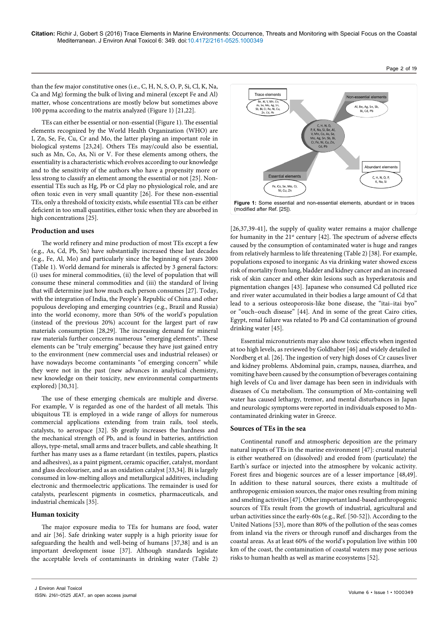than the few major constitutive ones (i.e., C, H, N, S, O, P, Si, Cl, K, Na, Ca and Mg) forming the bulk of living and mineral (except Fe and Al) matter, whose concentrations are mostly below but sometimes above 100 ppma according to the matrix analyzed (Figure 1) [21,22].

TEs can either be essential or non-essential (Figure 1). The essential elements recognized by the World Health Organization (WHO) are I, Zn, Se, Fe, Cu, Cr and Mo, the latter playing an important role in biological systems [23,24]. Others TEs may/could also be essential, such as Mn, Co, As, Ni or V. For these elements among others, the essentiality is a characteristic which evolves according to our knowledge and to the sensitivity of the authors who have a propensity more or less strong to classify an element among the essential or not [25]. Nonessential TEs such as Hg, Pb or Cd play no physiological role, and are often toxic even in very small quantity [26]. For these non-essential TEs, only a threshold of toxicity exists, while essential TEs can be either deficient in too small quantities, either toxic when they are absorbed in high concentrations [25].

#### **Production and uses**

The world refinery and mine production of most TEs except a few (e.g., As, Cd, Pb, Sn) have substantially increased these last decades (e.g., Fe, Al, Mo) and particularly since the beginning of years 2000 (Table 1). World demand for minerals is affected by 3 general factors: (i) uses for mineral commodities, (ii) the level of population that will consume these mineral commodities and (iii) the standard of living that will determine just how much each person consumes [27]. Today, with the integration of India, the People's Republic of China and other populous developing and emerging countries (e.g., Brazil and Russia) into the world economy, more than 50% of the world's population (instead of the previous 20%) account for the largest part of raw materials consumption [28,29]. The increasing demand for mineral raw materials further concerns numerous "emerging elements". These elements can be "truly emerging" because they have just gained entry to the environment (new commercial uses and industrial releases) or have nowadays become contaminants "of emerging concern" while they were not in the past (new advances in analytical chemistry, new knowledge on their toxicity, new environmental compartments explored) [30,31].

The use of these emerging chemicals are multiple and diverse. For example, V is regarded as one of the hardest of all metals. This ubiquitous TE is employed in a wide range of alloys for numerous commercial applications extending from train rails, tool steels, catalysts, to aerospace [32]. Sb greatly increases the hardness and the mechanical strength of Pb, and is found in batteries, antifriction alloys, type-metal, small arms and tracer bullets, and cable sheathing. It further has many uses as a flame retardant (in textiles, papers, plastics and adhesives), as a paint pigment, ceramic opacifier, catalyst, mordant and glass decolouriser, and as an oxidation catalyst [33,34]. Bi is largely consumed in low-melting alloys and metallurgical additives, including electronic and thermoelectric applications. The remainder is used for catalysts, pearlescent pigments in cosmetics, pharmaceuticals, and industrial chemicals [35].

#### **Human toxicity**

The major exposure media to TEs for humans are food, water and air [36]. Safe drinking water supply is a high priority issue for safeguarding the health and well-being of humans [37,38] and is an important development issue [37]. Although standards legislate the acceptable levels of contaminants in drinking water (Table 2)



[26,37,39-41], the supply of quality water remains a major challenge for humanity in the  $21<sup>st</sup>$  century [42]. The spectrum of adverse effects caused by the consumption of contaminated water is huge and ranges from relatively harmless to life threatening (Table 2) [38]. For example, populations exposed to inorganic As via drinking water showed excess risk of mortality from lung, bladder and kidney cancer and an increased risk of skin cancer and other skin lesions such as hyperkeratosis and pigmentation changes [43]. Japanese who consumed Cd polluted rice and river water accumulated in their bodies a large amount of Cd that lead to a serious osteoporosis-like bone disease, the "itai–itai byo" or "ouch–ouch disease" [44]. And in some of the great Cairo cities, Egypt, renal failure was related to Pb and Cd contamination of ground drinking water [45].

Essential micronutrients may also show toxic effects when ingested at too high levels, as reviewed by Goldhaber [46] and widely detailed in Nordberg et al. [26]. The ingestion of very high doses of Cr causes liver and kidney problems. Abdominal pain, cramps, nausea, diarrhea, and vomiting have been caused by the consumption of beverages containing high levels of Cu and liver damage has been seen in individuals with diseases of Cu metabolism. The consumption of Mn-containing well water has caused lethargy, tremor, and mental disturbances in Japan and neurologic symptoms were reported in individuals exposed to Mncontaminated drinking water in Greece.

#### **Sources of TEs in the sea**

Continental runoff and atmospheric deposition are the primary natural inputs of TEs in the marine environment [47]: crustal material is either weathered on (dissolved) and eroded from (particulate) the Earth's surface or injected into the atmosphere by volcanic activity. Forest fires and biogenic sources are of a lesser importance [48,49]. In addition to these natural sources, there exists a multitude of anthropogenic emission sources, the major ones resulting from mining and smelting activities [47]. Other important land-based anthropogenic sources of TEs result from the growth of industrial, agricultural and urban activities since the early-60s (e.g., Ref. [50-52]). According to the United Nations [53], more than 80% of the pollution of the seas comes from inland via the rivers or through runoff and discharges from the coastal areas. As at least 60% of the world's population live within 100 km of the coast, the contamination of coastal waters may pose serious risks to human health as well as marine ecosystems [52].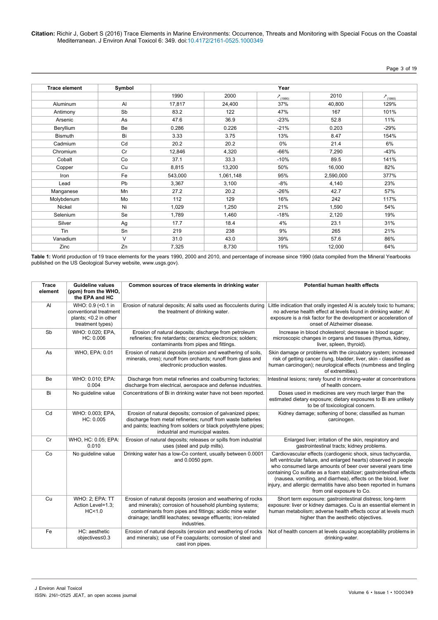## Page 3 of 19

| <b>Trace element</b> | Symbol |         |           | Year            |           |                 |
|----------------------|--------|---------|-----------|-----------------|-----------|-----------------|
|                      |        | 1990    | 2000      | $\sum_{(1990)}$ | 2010      | $\sum_{(1990)}$ |
| Aluminum             | AI     | 17,817  | 24,400    | 37%             | 40,800    | 129%            |
| Antimony             | Sb     | 83.2    | 122       | 47%             | 167       | 101%            |
| Arsenic              | As     | 47.6    | 36.9      | $-23%$          | 52.8      | 11%             |
| Beryllium            | Be     | 0.286   | 0.226     | $-21%$          | 0.203     | $-29%$          |
| <b>Bismuth</b>       | Bi     | 3.33    | 3.75      | 13%             | 8.47      | 154%            |
| Cadmium              | Cd     | 20.2    | 20.2      | $0\%$           | 21.4      | 6%              |
| Chromium             | Cr     | 12,846  | 4,320     | $-66%$          | 7,290     | $-43%$          |
| Cobalt               | Co     | 37.1    | 33.3      | $-10%$          | 89.5      | 141%            |
| Copper               | Cu     | 8,815   | 13,200    | 50%             | 16,000    | 82%             |
| Iron                 | Fe     | 543,000 | 1,061,148 | 95%             | 2,590,000 | 377%            |
| Lead                 | Pb     | 3,367   | 3,100     | $-8%$           | 4,140     | 23%             |
| Manganese            | Mn     | 27.2    | 20.2      | $-26%$          | 42.7      | 57%             |
| Molybdenum           | Mo     | 112     | 129       | 16%             | 242       | 117%            |
| Nickel               | Ni     | 1,029   | 1,250     | 21%             | 1,590     | 54%             |
| Selenium             | Se     | 1,789   | 1,460     | $-18%$          | 2,120     | 19%             |
| Silver               | Ag     | 17.7    | 18.4      | 4%              | 23.1      | 31%             |
| Tin                  | Sn     | 219     | 238       | 9%              | 265       | 21%             |
| Vanadium             | $\vee$ | 31.0    | 43.0      | 39%             | 57.6      | 86%             |
| Zinc                 | Zn     | 7,325   | 8,730     | 19%             | 12,000    | 64%             |

**Table 1:** World production of 19 trace elements for the years 1990, 2000 and 2010, and percentage of increase since 1990 (data compiled from the Mineral Yearbooks published on the US Geological Survey website, www.usgs.gov).

| <b>Trace</b><br>element | <b>Guideline values</b><br>(ppm) from the WHO,<br>the EPA and HC                         | Common sources of trace elements in drinking water                                                                                                                                                                                                                | Potential human health effects                                                                                                                                                                                                                                                                                                                                                                                                              |
|-------------------------|------------------------------------------------------------------------------------------|-------------------------------------------------------------------------------------------------------------------------------------------------------------------------------------------------------------------------------------------------------------------|---------------------------------------------------------------------------------------------------------------------------------------------------------------------------------------------------------------------------------------------------------------------------------------------------------------------------------------------------------------------------------------------------------------------------------------------|
| Al                      | WHO: 0.9 (<0.1 in<br>conventional treatment<br>plants; <0.2 in other<br>treatment types) | Erosion of natural deposits; AI salts used as flocculents during<br>the treatment of drinking water.                                                                                                                                                              | Little indication that orally ingested AI is acutely toxic to humans;<br>no adverse health effect at levels found in drinking water; Al<br>exposure is a risk factor for the development or acceleration of<br>onset of Alzheimer disease.                                                                                                                                                                                                  |
| Sb                      | WHO: 0.020; EPA,<br>HC: 0.006                                                            | Erosion of natural deposits; discharge from petroleum<br>refineries; fire retardants; ceramics; electronics; solders;<br>contaminants from pipes and fittings.                                                                                                    | Increase in blood cholesterol; decrease in blood sugar;<br>microscopic changes in organs and tissues (thymus, kidney,<br>liver, spleen, thyroid).                                                                                                                                                                                                                                                                                           |
| As                      | WHO, EPA: 0.01                                                                           | Erosion of natural deposits (erosion and weathering of soils,<br>minerals, ores); runoff from orchards; runoff from glass and<br>electronic production wastes.                                                                                                    | Skin damage or problems with the circulatory system; increased<br>risk of getting cancer (lung, bladder, liver, skin - classified as<br>human carcinogen); neurological effects (numbness and tingling<br>of extremities).                                                                                                                                                                                                                  |
| Be                      | WHO: 0.010; EPA:<br>0.004                                                                | Discharge from metal refineries and coalburning factories;<br>discharge from electrical, aerospace and defense industries.                                                                                                                                        | Intestinal lesions; rarely found in drinking-water at concentrations<br>of health concern.                                                                                                                                                                                                                                                                                                                                                  |
| Bi                      | No quideline value                                                                       | Concentrations of Bi in drinking water have not been reported.                                                                                                                                                                                                    | Doses used in medicines are very much larger than the<br>estimated dietary exposure; dietary exposures to Bi are unlikely<br>to be of toxicological concern.                                                                                                                                                                                                                                                                                |
| Cd                      | WHO: 0.003; EPA,<br>HC: 0.005                                                            | Erosion of natural deposits; corrosion of galvanized pipes;<br>discharge from metal refineries; runoff from waste batteries<br>and paints; leaching from solders or black polyethylene pipes;<br>industrial and municipal wastes.                                 | Kidney damage; softening of bone; classified as human<br>carcinogen.                                                                                                                                                                                                                                                                                                                                                                        |
| Cr                      | WHO, HC: 0.05; EPA:<br>0.010                                                             | Erosion of natural deposits; releases or spills from industrial<br>uses (steel and pulp mills).                                                                                                                                                                   | Enlarged liver; irritation of the skin, respiratory and<br>gastrointestinal tracts; kidney problems.                                                                                                                                                                                                                                                                                                                                        |
| Co                      | No quideline value                                                                       | Drinking water has a low-Co content, usually between 0.0001<br>and 0.0050 ppm.                                                                                                                                                                                    | Cardiovascular effects (cardiogenic shock, sinus tachycardia,<br>left ventricular failure, and enlarged hearts) observed in people<br>who consumed large amounts of beer over several years time<br>containing Co sulfate as a foam stabilizer; gastrointestinal effects<br>(nausea, vomiting, and diarrhea), effects on the blood, liver<br>injury, and allergic dermatitis have also been reported in humans<br>from oral exposure to Co. |
| Cu                      | <b>WHO: 2; EPA: TT</b><br>Action Level=1.3;<br>HC<1.0                                    | Erosion of natural deposits (erosion and weathering of rocks<br>and minerals); corrosion of household plumbing systems;<br>contaminants from pipes and fittings; acidic mine water<br>drainage; landfill leachates; sewage effluents; iron-related<br>industries. | Short term exposure: gastrointestinal distress; long-term<br>exposure: liver or kidney damages. Cu is an essential element in<br>human metabolism; adverse health effects occur at levels much<br>higher than the aesthetic objectives.                                                                                                                                                                                                     |
| Fe                      | HC: aesthetic<br>objectives≤0.3                                                          | Erosion of natural deposits (erosion and weathering of rocks<br>and minerals); use of Fe coagulants; corrosion of steel and<br>cast iron pipes.                                                                                                                   | Not of health concern at levels causing acceptability problems in<br>drinking-water.                                                                                                                                                                                                                                                                                                                                                        |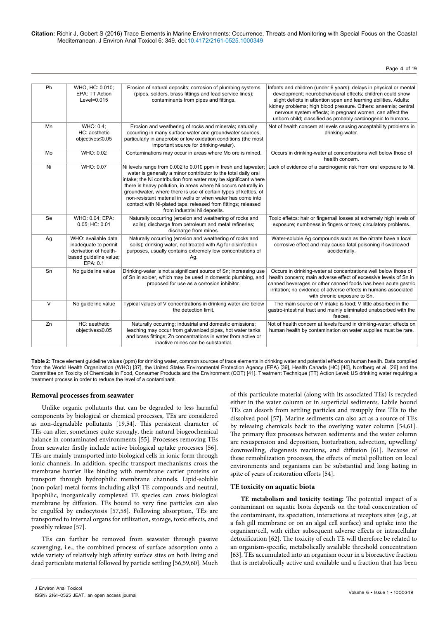Page 4 of 19

| Pb     | WHO, HC: 0.010;<br>EPA: TT Action<br>Level=0.015                                                           | Erosion of natural deposits; corrosion of plumbing systems<br>(pipes, solders, brass fittings and lead service lines);<br>contaminants from pipes and fittings.                                                                                                                                                                                                                                                                                                                                           | Infants and children (under 6 years): delays in physical or mental<br>development; neurobehavioural effects; children could show<br>slight deficits in attention span and learning abilities. Adults:<br>kidney problems; high blood pressure. Others: anaemia; central<br>nervous system effects; in pregnant women, can affect the<br>unborn child; classified as probably carcinogenic to humans. |
|--------|------------------------------------------------------------------------------------------------------------|-----------------------------------------------------------------------------------------------------------------------------------------------------------------------------------------------------------------------------------------------------------------------------------------------------------------------------------------------------------------------------------------------------------------------------------------------------------------------------------------------------------|------------------------------------------------------------------------------------------------------------------------------------------------------------------------------------------------------------------------------------------------------------------------------------------------------------------------------------------------------------------------------------------------------|
| Mn     | WHO: 0.4;<br>HC: aesthetic<br>objectives≤0.05                                                              | Erosion and weathering of rocks and minerals; naturally<br>occurring in many surface water and groundwater sources,<br>particularly in anaerobic or low oxidation conditions (the most<br>important source for drinking-water).                                                                                                                                                                                                                                                                           | Not of health concern at levels causing acceptability problems in<br>drinking-water.                                                                                                                                                                                                                                                                                                                 |
| Mo     | WHO: 0.02                                                                                                  | Contaminations may occur in areas where Mo ore is mined.                                                                                                                                                                                                                                                                                                                                                                                                                                                  | Occurs in drinking-water at concentrations well below those of<br>health concern.                                                                                                                                                                                                                                                                                                                    |
| Ni     | WHO: 0.07                                                                                                  | Ni levels range from 0.002 to 0.010 ppm in fresh and tapwater;<br>water is generally a minor contributor to the total daily oral<br>intake; the Ni contribution from water may be significant where<br>there is heavy pollution, in areas where Ni occurs naturally in<br>groundwater, where there is use of certain types of kettles, of<br>non-resistant material in wells or when water has come into<br>contact with Ni-plated taps; released from fittings; released<br>from industrial Ni deposits. | Lack of evidence of a carcinogenic risk from oral exposure to Ni.                                                                                                                                                                                                                                                                                                                                    |
| Se     | WHO: 0.04; EPA:<br>$0.05;$ HC: $0.01$                                                                      | Naturally occurring (erosion and weathering of rocks and<br>soils); discharge from petroleum and metal refineries;<br>discharge from mines.                                                                                                                                                                                                                                                                                                                                                               | Toxic effetcs: hair or fingernail losses at extremely high levels of<br>exposure; numbness in fingers or toes; circulatory problems.                                                                                                                                                                                                                                                                 |
| Ag     | WHO: available data<br>inadequate to permit<br>derivation of health-<br>based guideline value;<br>EPA: 0.1 | Naturally occurring (erosion and weathering of rocks and<br>soils); drinking water, not treated with Ag for disinfection<br>purposes, usually contains extremely low concentrations of<br>Ag.                                                                                                                                                                                                                                                                                                             | Water-soluble Ag compounds such as the nitrate have a local<br>corrosive effect and may cause fatal poisoning if swallowed<br>accidentally.                                                                                                                                                                                                                                                          |
| Sn     | No guideline value                                                                                         | Drinking-water is not a significant source of Sn; increasing use<br>of Sn in solder, which may be used in domestic plumbing, and<br>proposed for use as a corrosion inhibitor.                                                                                                                                                                                                                                                                                                                            | Occurs in drinking-water at concentrations well below those of<br>health concern: main adverse effect of excessive levels of Sn in<br>canned beverages or other canned foods has been acute gastric<br>irritation; no evidence of adverse effects in humans associated<br>with chronic exposure to Sn.                                                                                               |
| $\vee$ | No guideline value                                                                                         | Typical values of V concentrations in drinking water are below<br>the detection limit.                                                                                                                                                                                                                                                                                                                                                                                                                    | The main source of V intake is food; V little absorbed in the<br>gastro-intestinal tract and mainly eliminated unabsorbed with the<br>faeces.                                                                                                                                                                                                                                                        |
| Zn     | HC: aesthetic<br>objectives≤0.05                                                                           | Naturally occurring; industrial and domestic emissions;<br>leaching may occur from galvanized pipes, hot water tanks<br>and brass fittings; Zn concentrations in water from active or<br>inactive mines can be substantial.                                                                                                                                                                                                                                                                               | Not of health concern at levels found in drinking-water; effects on<br>human health by contamination on water supplies must be rare.                                                                                                                                                                                                                                                                 |

**Table 2:** Trace element guideline values (ppm) for drinking water, common sources of trace elements in drinking water and potential effects on human health. Data compiled from the World Health Organization (WHO) [37], the United States Environmental Protection Agency (EPA) [39], Health Canada (HC) [40], Nordberg et al. [26] and the Committee on Toxicity of Chemicals in Food, Consumer Products and the Environment (COT) [41]. Treatment Technique (TT) Action Level: US drinking water requiring a treatment process in order to reduce the level of a contaminant.

## **Removal processes from seawater**

Unlike organic pollutants that can be degraded to less harmful components by biological or chemical processes, TEs are considered as non-degradable pollutants [19,54]. This persistent character of TEs can alter, sometimes quite strongly, their natural biogeochemical balance in contaminated environments [55]. Processes removing TEs from seawater firstly include active biological uptake processes [56]. TEs are mainly transported into biological cells in ionic form through ionic channels. In addition, specific transport mechanisms cross the membrane barrier like binding with membrane carrier proteins or transport through hydrophilic membrane channels. Lipid-soluble (non-polar) metal forms including alkyl-TE compounds and neutral, lipophilic, inorganically complexed TE species can cross biological membrane by diffusion. TEs bound to very fine particles can also be engulfed by endocytosis [57,58]. Following absorption, TEs are transported to internal organs for utilization, storage, toxic effects, and possibly release [57].

TEs can further be removed from seawater through passive scavenging, i.e., the combined process of surface adsorption onto a wide variety of relatively high affinity surface sites on both living and dead particulate material followed by particle settling [56,59,60]. Much

of this particulate material (along with its associated TEs) is recycled either in the water column or in superficial sediments. Labile bound TEs can desorb from settling particles and resupply free TEs to the dissolved pool [57]. Marine sediments can also act as a source of TEs by releasing chemicals back to the overlying water column [54,61]. The primary flux processes between sediments and the water column are resuspension and deposition, bioturbation, advection, upwelling/ downwelling, diagenesis reactions, and diffusion [61]. Because of these remobilization processes, the effects of metal pollution on local environments and organisms can be substantial and long lasting in spite of years of restoration efforts [54].

## **TE toxicity on aquatic biota**

**TE metabolism and toxicity testing:** The potential impact of a contaminant on aquatic biota depends on the total concentration of the contaminant, its speciation, interactions at receptors sites (e.g., at a fish gill membrane or on an algal cell surface) and uptake into the organism/cell, with either subsequent adverse effects or intracellular detoxification [62]. The toxicity of each TE will therefore be related to an organism-specific, metabolically available threshold concentration [63]. TEs accumulated into an organism occur in a bioreactive fraction that is metabolically active and available and a fraction that has been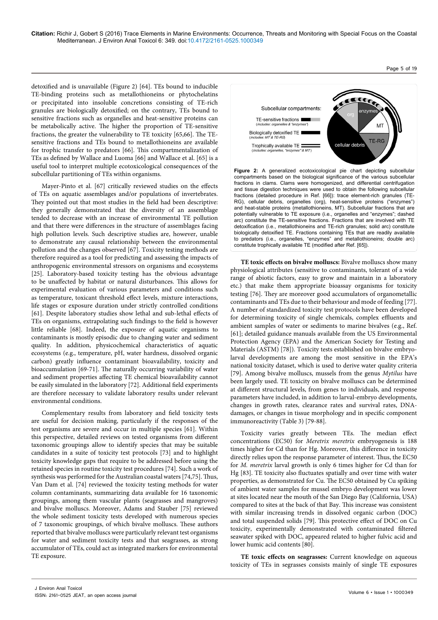detoxified and is unavailable (Figure 2) [64]. TEs bound to inducible TE-binding proteins such as metallothioneins or phytochelatins or precipitated into insoluble concretions consisting of TE-rich granules are biologically detoxified; on the contrary, TEs bound to sensitive fractions such as organelles and heat-sensitive proteins can be metabolically active. The higher the proportion of TE-sensitive fractions, the greater the vulnerability to TE toxicity [65,66]. The TEsensitive fractions and TEs bound to metallothioneins are available for trophic transfer to predators [66]. This compartmentalization of TEs as defined by Wallace and Luoma [66] and Wallace et al. [65] is a useful tool to interpret multiple ecotoxicological consequences of the subcellular partitioning of TEs within organisms.

Mayer-Pinto et al. [67] critically reviewed studies on the effects of TEs on aquatic assemblages and/or populations of invertebrates. They pointed out that most studies in the field had been descriptive: they generally demonstrated that the diversity of an assemblage tended to decrease with an increase of environmental TE pollution and that there were differences in the structure of assemblages facing high pollution levels. Such descriptive studies are, however, unable to demonstrate any causal relationship between the environmental pollution and the changes observed [67]. Toxicity testing methods are therefore required as a tool for predicting and assessing the impacts of anthropogenic environmental stressors on organisms and ecosystems [25]. Laboratory-based toxicity testing has the obvious advantage to be unaffected by habitat or natural disturbances. This allows for experimental evaluation of various parameters and conditions such as temperature, toxicant threshold effect levels, mixture interactions, life stages or exposure duration under strictly controlled conditions [61]. Despite laboratory studies show lethal and sub-lethal effects of TEs on organisms, extrapolating such findings to the field is however little reliable [68]. Indeed, the exposure of aquatic organisms to contaminants is mostly episodic due to changing water and sediment quality. In addition, physicochemical characteristics of aquatic ecosystems (e.g., temperature, pH, water hardness, dissolved organic carbon) greatly influence contaminant bioavailability, toxicity and bioaccumulation [69-71]. The naturally occurring variability of water and sediment properties affecting TE chemical bioavailability cannot be easily simulated in the laboratory [72]. Additional field experiments are therefore necessary to validate laboratory results under relevant environmental conditions.

Complementary results from laboratory and field toxicity tests are useful for decision making, particularly if the responses of the test organisms are severe and occur in multiple species [61]. Within this perspective, detailed reviews on tested organisms from different taxonomic groupings allow to identify species that may be suitable candidates in a suite of toxicity test protocols [73] and to highlight toxicity knowledge gaps that require to be addressed before using the retained species in routine toxicity test procedures [74]. Such a work of synthesis was performed for the Australian coastal waters [74,75]. Thus, Van Dam et al. [74] reviewed the toxicity testing methods for water column contaminants, summarizing data available for 16 taxonomic groupings, among them vascular plants (seagrasses and mangroves) and bivalve molluscs. Moreover, Adams and Stauber [75] reviewed the whole sediment toxicity tests developed with numerous species of 7 taxonomic groupings, of which bivalve molluscs. These authors reported that bivalve molluscs were particularly relevant test organisms for water and sediment toxicity tests and that seagrasses, as strong accumulator of TEs, could act as integrated markers for environmental TE exposure.



**Figure 2:** A generalized ecotoxicological pie chart depicting subcellular compartments based on the biological significance of the various subcellular fractions in clams. Clams were homogenized, and differential centrifugation and tissue digestion techniques were used to obtain the following subcellular fractions (detailed procedure in Ref. [66]): trace element-rich granules (TE-RG), cellular debris, organelles (org), heat-sensitive proteins ("enzymes") and heat-stable proteins (metallothioneins, MT). Subcellular fractions that are potentially vulnerable to TE exposure (i.e., organelles and "enzymes"; dashed arc) constitute the TE-sensitive fractions. Fractions that are involved with TE detoxification (i.e., metallothioneins and TE-rich granules; solid arc) constitute biologically detoxified TE. Fractions containing TEs that are readily available to predators (i.e., organelles, "enzymes" and metallothioneins; double arc) constitute trophically available TE (modified after Ref. [65]).

**TE toxic effects on bivalve molluscs:** Bivalve molluscs show many physiological attributes (sensitive to contaminants, tolerant of a wide range of abiotic factors, easy to grow and maintain in a laboratory etc.) that make them appropriate bioassay organisms for toxicity testing [76]. They are moreover good accumulators of organometallic contaminants and TEs due to their behaviour and mode of feeding [77]. A number of standardized toxicity test protocols have been developed for determining toxicity of single chemicals, complex effluents and ambient samples of water or sediments to marine bivalves (e.g., Ref. [61]; detailed guidance manuals available from the US Environmental Protection Agency (EPA) and the American Society for Testing and Materials (ASTM) [78]). Toxicity tests established on bivalve embryolarval developments are among the most sensitive in the EPA's national toxicity dataset, which is used to derive water quality criteria [79]. Among bivalve molluscs, mussels from the genus *Mytilus* have been largely used. TE toxicity on bivalve molluscs can be determined at different structural levels, from genes to individuals, and response parameters have included, in addition to larval-embryo developments, changes in growth rates, clearance rates and survival rates, DNAdamages, or changes in tissue morphology and in specific component immunoreactivity (Table 3) [79-88].

Toxicity varies greatly between TEs. The median effect concentrations (EC50) for *Meretrix meretrix* embryogenesis is 188 times higher for Cd than for Hg. Moreover, this difference in toxicity directly relies upon the response parameter of interest. Thus, the EC50 for *M. meretrix* larval growth is only 6 times higher for Cd than for Hg [83]. TE toxicity also fluctuates spatially and over time with water properties, as demonstrated for Cu. The EC50 obtained by Cu spiking of ambient water samples for mussel embryo development was lower at sites located near the mouth of the San Diego Bay (California, USA) compared to sites at the back of that Bay. This increase was consistent with similar increasing trends in dissolved organic carbon (DOC) and total suspended solids [79]. This protective effect of DOC on Cu toxicity, experimentally demonstrated with contaminated filtered seawater spiked with DOC, appeared related to higher fulvic acid and lower humic acid contents [80].

**TE toxic effects on seagrasses:** Current knowledge on aqueous toxicity of TEs in segrasses consists mainly of single TE exposures

Page 5 of 19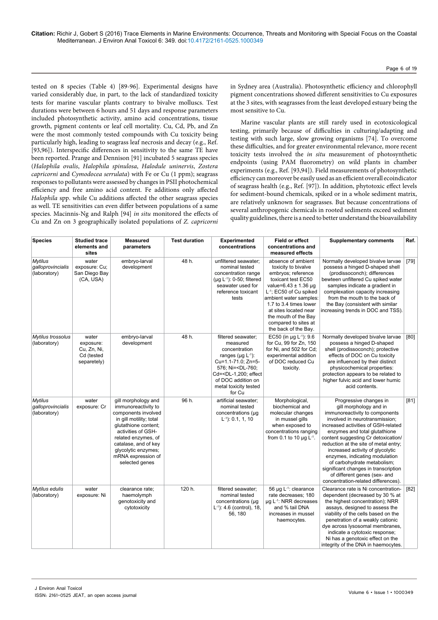tested on 8 species (Table 4) [89-96]. Experimental designs have varied considerably due, in part, to the lack of standardized toxicity tests for marine vascular plants contrary to bivalve molluscs. Test durations were between 6 hours and 51 days and response parameters included photosynthetic activity, amino acid concentrations, tissue growth, pigment contents or leaf cell mortality. Cu, Cd, Pb, and Zn were the most commonly tested compounds with Cu toxicity being particularly high, leading to seagrass leaf necrosis and decay (e.g., Ref. [93,96]). Interspecific differences in sensitivity to the same TE have been reported. Prange and Dennison [91] incubated 5 seagrass species (*Halophila ovalis*, *Halophila spinulosa*, *Halodule uninervis*, *Zostera capricorni* and *Cymodocea serrulata*) with Fe or Cu (1 ppm); seagrass responses to pollutants were assessed by changes in PSII photochemical efficiency and free amino acid content. Fe additions only affected *Halophila* spp. while Cu additions affected the other seagrass species as well. TE sensitivities can even differ between populations of a same species. Macinnis-Ng and Ralph [94] *in situ* monitored the effects of Cu and Zn on 3 geographically isolated populations of *Z. capricorni*

in Sydney area (Australia). Photosynthetic efficiency and chlorophyll pigment concentrations showed different sensitivities to Cu exposures at the 3 sites, with seagrasses from the least developed estuary being the most sensitive to Cu.

Marine vascular plants are still rarely used in ecotoxicological testing, primarily because of difficulties in culturing/adapting and testing with such large, slow growing organisms [74]. To overcome these difficulties, and for greater environmental relevance, more recent toxicity tests involved the *in situ* measurement of photosynthetic endpoints (using PAM fluorometry) on wild plants in chamber experiments (e.g., Ref. [93,94]). Field measurements of photosynthetic efficiency can moreover be easily used as an efficient overall ecoindicator of seagrass health (e.g., Ref. [97]). In addition, phytotoxic effect levels for sediment-bound chemicals, spiked or in a whole sediment matrix, are relatively unknown for seagrasses. But because concentrations of several anthropogenic chemicals in rooted sediments exceed sediment quality guidelines, there is a need to better understand the bioavailability

| <b>Species</b>                               | <b>Studied trace</b><br>elements and<br>sites                  | <b>Measured</b><br>parameters                                                                                                                                                                                                                            | <b>Test duration</b> | <b>Experimented</b><br>concentrations                                                                                                                                                                                                            | <b>Field or effect</b><br>concentrations and<br>measured effects                                                                                                                                                                                                                                     | <b>Supplementary comments</b>                                                                                                                                                                                                                                                                                                                                                                                                                                                                    | Ref.   |
|----------------------------------------------|----------------------------------------------------------------|----------------------------------------------------------------------------------------------------------------------------------------------------------------------------------------------------------------------------------------------------------|----------------------|--------------------------------------------------------------------------------------------------------------------------------------------------------------------------------------------------------------------------------------------------|------------------------------------------------------------------------------------------------------------------------------------------------------------------------------------------------------------------------------------------------------------------------------------------------------|--------------------------------------------------------------------------------------------------------------------------------------------------------------------------------------------------------------------------------------------------------------------------------------------------------------------------------------------------------------------------------------------------------------------------------------------------------------------------------------------------|--------|
| Mytilus<br>galloprovincialis<br>(laboratory) | water<br>exposure: Cu;<br>San Diego Bay<br>(CA, USA)           | embryo-larval<br>development                                                                                                                                                                                                                             | 48 h.                | unfiltered seawater;<br>nominal tested<br>concentration range<br>( $\mu$ g L <sup>-1</sup> ): 0-50; filtered<br>seawater used for<br>reference toxicant<br>tests                                                                                 | absence of ambient<br>toxicity to bivalve<br>embryos; reference<br>toxicant test EC50<br>value= $6.43 \pm 1.36 \mu q$<br>L-1; EC50 of Cu spiked<br>ambient water samples:<br>1.7 to 3.4 times lower<br>at sites located near<br>the mouth of the Bay<br>compared to sites at<br>the back of the Bay. | Normally developed bivalve larvae<br>possess a hinged D-shaped shell<br>(prodissoconch); differences<br>bewteen unfiltered Cu spiked water<br>samples indicate a gradient in<br>complexation capacity increasing<br>from the mouth to the back of<br>the Bay (consistent with similar<br>increasing trends in DOC and TSS).                                                                                                                                                                      | $[79]$ |
| Mytilus trossolus<br>(laboratory)            | water<br>exposure:<br>Cu, Zn, Ni,<br>Cd (tested<br>separetely) | embryo-larval<br>development                                                                                                                                                                                                                             | 48 h.                | filtered seawater;<br>measured<br>concentration<br>ranges ( $\mu$ g L <sup>-1</sup> ):<br>Cu=1.1-71.0; Zn=5-<br>576; Ni= <dl-760;<br>Cd=<dl-1,200; effect<br="">of DOC addition on<br/>metal toxicity tested<br/>for Cu</dl-1,200;></dl-760;<br> | EC50 (in $\mu$ g L <sup>-1</sup> ): 9.6<br>for Cu, 99 for Zn, 150<br>for Ni, and 502 for Cd;<br>experimental addition<br>of DOC reduced Cu<br>toxicity.                                                                                                                                              | Normally developed bivalve larvae<br>possess a hinged D-shaped<br>shell (prodissoconch); protective<br>effects of DOC on Cu toxicity<br>are influenced by their distinct<br>physicochemical properties:<br>protection appears to be related to<br>higher fulvic acid and lower humic<br>acid contents.                                                                                                                                                                                           | [80]   |
| Mytilus<br>galloprovincialis<br>(laboratory) | water<br>exposure: Cr                                          | gill morphology and<br>immunoreactivity to<br>components involved<br>in gill motility; total<br>glutathione content;<br>activities of GSH-<br>related enzymes, of<br>catalase, and of key<br>glycolytic enzymes;<br>mRNA expression of<br>selected genes | 96 h.                | artificial seawater;<br>nominal tested<br>concentrations (µg<br>$L^{-1}$ ): 0.1, 1, 10                                                                                                                                                           | Morphological,<br>biochemical and<br>molecular changes<br>in mussel gills<br>when exposed to<br>concentrations ranging<br>from 0.1 to 10 $\mu$ g L <sup>-1</sup> .                                                                                                                                   | Progressive changes in<br>gill morphology and in<br>immunoreactivity to components<br>involved in neurotransmission:<br>increased activities of GSH-related<br>enzymes and total glutathione<br>content suggesting Cr detoxication/<br>reduction at the site of metal entry;<br>increased activity of glycolytic<br>enzymes, indicating modulation<br>of carbohydrate metabolism;<br>significant changes in transcription<br>of different genes (sex- and<br>concentration-related differences). | [81]   |
| Mytilus edulis<br>(laboratory)               | water<br>exposure: Ni                                          | clearance rate;<br>haemolymph<br>genotoxicity and<br>cytotoxicity                                                                                                                                                                                        | 120 h.               | filtered seawater;<br>nominal tested<br>concentrations (µq<br>$L^{-1}$ ): 4.6 (control), 18,<br>56, 180                                                                                                                                          | 56 µg $L^{-1}$ : clearance<br>rate decreases; 180<br>$\mu$ g L <sup>-1</sup> : NRR decreases<br>and % tail DNA<br>increases in mussel<br>haemocytes.                                                                                                                                                 | Clearance rate is Ni concentration-<br>dependent (decreased by 30 % at<br>the highest concentration); NRR<br>assays, designed to assess the<br>viability of the cells based on the<br>penetration of a weakly cationic<br>dye across lysosomal membranes,<br>indicate a cytotoxic response;<br>Ni has a genotoxic effect on the<br>integrity of the DNA in haemocytes.                                                                                                                           | $[82]$ |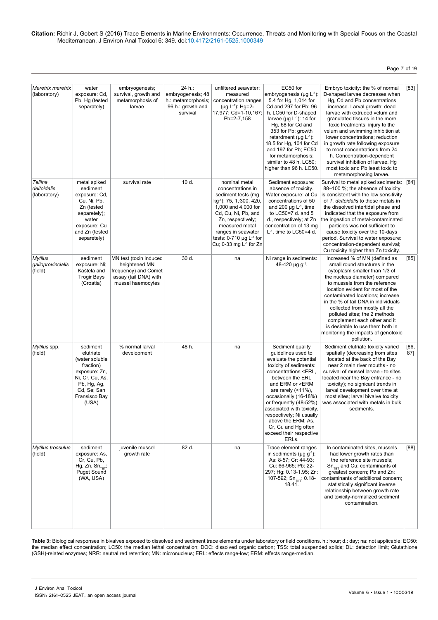Page 7 of 19

| Meretrix meretrix<br>(laboratory)       | water<br>exposure: Cd,<br>Pb, Hg (tested<br>separately)                                                                                          | embryogenesis;<br>survival, growth and<br>metamorphosis of<br>larvae                                          | 24 h.:<br>embryogenesis; 48<br>h.: metamorphosis;<br>96 h.: growth and<br>survival | unfiltered seawater;<br>measured<br>concentration ranges<br>(µg L-1): Hg=2-<br>17,977; Cd=1-10,167;<br>Pb=2-7,158                                                                                                                                                             | EC50 for<br>embryogenesis ( $\mu$ g L <sup>-1</sup> ):<br>5.4 for Hg, 1,014 for<br>Cd and 297 for Pb; 96<br>h. LC50 for D-shaped<br>larvae ( $\mu$ g L <sup>-1</sup> ): 14 for<br>Hg, 68 for Cd and<br>353 for Pb; growth<br>retardment ( $\mu$ g L <sup>-1</sup> ):<br>18.5 for Hg, 104 for Cd<br>and 197 for Pb; EC50<br>for metamorphosis:<br>similar to 48 h. LC50;<br>higher than 96 h. LC50.                   | Embryo toxicity: the % of normal<br>D-shaped larvae decreases when<br>Hg, Cd and Pb concentrations<br>increase. Larval growth: dead<br>larvae with extruded velum and<br>granulated tissues in the more<br>toxic treatments; injury to the<br>velum and swimming inhibition at<br>lower concentrations; reduction<br>in growth rate following exposure<br>to most concentrations from 24<br>h. Concentration-dependent<br>survival inhibition of larvae. Hg<br>most toxic and Pb least toxic to<br>metamorphosing larvae. | $[83]$      |
|-----------------------------------------|--------------------------------------------------------------------------------------------------------------------------------------------------|---------------------------------------------------------------------------------------------------------------|------------------------------------------------------------------------------------|-------------------------------------------------------------------------------------------------------------------------------------------------------------------------------------------------------------------------------------------------------------------------------|----------------------------------------------------------------------------------------------------------------------------------------------------------------------------------------------------------------------------------------------------------------------------------------------------------------------------------------------------------------------------------------------------------------------|---------------------------------------------------------------------------------------------------------------------------------------------------------------------------------------------------------------------------------------------------------------------------------------------------------------------------------------------------------------------------------------------------------------------------------------------------------------------------------------------------------------------------|-------------|
| Tellina<br>deltoidalis<br>(laboratory)  | metal spiked<br>sediment<br>exposure: Cd,<br>Cu, Ni, Pb,<br>Zn (tested<br>separetely);<br>water<br>exposure: Cu<br>and Zn (tested<br>separetely) | survival rate                                                                                                 | 10 d.                                                                              | nominal metal<br>concentrations in<br>sediment tests (mg<br>kg <sup>-1</sup> ): 75, 1, 300, 420,<br>1,000 and 4,000 for<br>Cd, Cu, Ni, Pb, and<br>Zn, respectively;<br>measured metal<br>ranges in seawater<br>tests: $0-710 \mu g L^{-1}$ for<br>Cu; 0-33 mg $L^{-1}$ for Zn | Sediment exposure:<br>absence of toxicity.<br>Water exposure: at Cu<br>concentrations of 50<br>and 200 $\mu$ g L <sup>-1</sup> , time<br>to LC50=7 d. and 5<br>d., respectively; at Zn<br>concentration of 13 mg<br>$L^{-1}$ , time to LC50=4 d.                                                                                                                                                                     | Survival to metal spiked sediments:<br>88-100 %; the absence of toxicity<br>is consistent with the low sensitivity<br>of T. deltoidalis to these metals in<br>the dissolved intertidal phase and<br>indicated that the exposure from<br>the ingestion of metal-contaminated<br>particles was not sufficient to<br>cause toxicity over the 10-days<br>period. Survival to water exposure:<br>concentration-dependent survival;<br>Cu toxicity higher than Zn toxicity.                                                     | $[84]$      |
| Mytilus<br>galloprovincialis<br>(field) | sediment<br>exposure: Ni;<br>Kaštela and<br><b>Trogir Bays</b><br>(Croatia)                                                                      | MN test (toxin induced<br>heightened MN<br>frequency) and Comet<br>assay (tail DNA) with<br>mussel haemocytes | 30 d.                                                                              | na                                                                                                                                                                                                                                                                            | Ni range in sediments:<br>48-420 $\mu$ g g <sup>-1</sup> .                                                                                                                                                                                                                                                                                                                                                           | Increased % of MN (defined as<br>small round structures in the<br>cytoplasm smaller than 1/3 of<br>the nucleus diameter) compared<br>to mussels from the reference<br>location evident for most of the<br>contaminated locations; increase<br>in the % of tail DNA in individuals<br>collected from mostly all the<br>polluted sites; the 2 methods<br>complement each other and it<br>is desirable to use them both in<br>monitoring the impacts of genotoxic<br>pollution.                                              | $[85]$      |
| Mytilus spp.<br>(field)                 | sediment<br>elutriate<br>(water soluble<br>fraction)<br>exposure: Zn,<br>Ni, Cr, Cu, As,<br>Pb, Hg, Ag,<br>Cd, Se; San<br>Fransisco Bay<br>(USA) | % normal larval<br>development                                                                                | 48 h.                                                                              | na                                                                                                                                                                                                                                                                            | Sediment quality<br>guidelines used to<br>evaluate the potential<br>toxicity of sediments:<br>concentrations <erl,<br>between the ERL<br/>and ERM or &gt;ERM<br/>are rarely <math>(</math> &lt; 11%),<br/>occasionally (16-18%)<br/>or frequently (48-52%)<br/>associated with toxicity.<br/>respectively; Ni usually<br/>above the ERM; As,<br/>Cr, Cu and Hg often<br/>exceed their respective<br/>ERLs.</erl,<br> | Sediment elutriate toxicity varied<br>spatially (decreasing from sites<br>located at the back of the Bay<br>near 2 main river mouths - no<br>survival of mussel larvae - to sites<br>located near the Bay entrance - no<br>toxicity); no signicant trends in<br>larval development over time at<br>most sites; larval bivalve toxicity<br>was associated with metals in bulk<br>sediments.                                                                                                                                | [86,<br>87] |
| Mytilus trossulus<br>(field)            | sediment<br>exposure: As,<br>Cr, Cu, Pb,<br>Hg, Zn, $Sn_{TBT}$ ;<br><b>Puget Sound</b><br>(WA, USA)                                              | juvenile mussel<br>growth rate                                                                                | 82 d.                                                                              | na                                                                                                                                                                                                                                                                            | Trace element ranges<br>in sediments ( $\mu$ g g <sup>-1</sup> ):<br>As: 8-57; Cr: 44-93;<br>Cu: 66-965; Pb: 22-<br>297; Hg: 0.13-1.95; Zn:<br>107-592; Sn <sub>TBT</sub> : 0.18-<br>18.41.                                                                                                                                                                                                                          | In contaminated sites, mussels<br>had lower growth rates than<br>the reference site mussels;<br>$Sn_{\text{ref}}$ and Cu: contaminants of<br>greatest concern; Pb and Zn:<br>contaminants of additional concern;<br>statistically significant inverse<br>relationship between growth rate<br>and toxicity-normalized sediment<br>contamination.                                                                                                                                                                           | $[88]$      |

**Table 3:** Biological responses in bivalves exposed to dissolved and sediment trace elements under laboratory or field conditions. h.: hour; d.: day; na: not applicable; EC50: the median effect concentration; LC50: the median lethal concentration; DOC: dissolved organic carbon; TSS: total suspended solids; DL: detection limit; Glutathione (GSH)-related enzymes; NRR: neutral red retention; MN: micronucleus; ERL: effects range-low; ERM: effects range-median.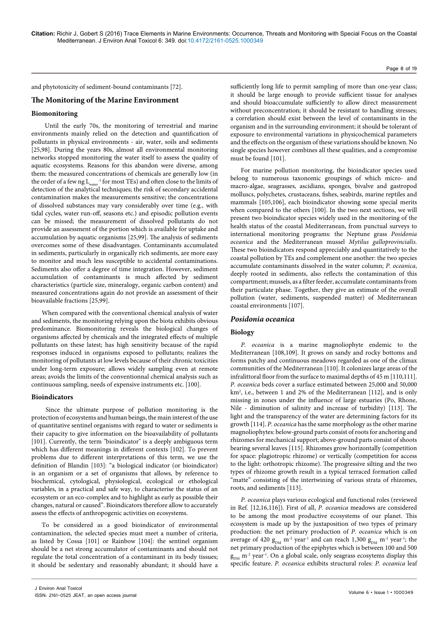and phytotoxicity of sediment-bound contaminants [72].

# **The Monitoring of the Marine Environment**

# **Biomonitoring**

Until the early 70s, the monitoring of terrestrial and marine environments mainly relied on the detection and quantification of pollutants in physical environments - air, water, soils and sediments [25,98]. During the years 80s, almost all environmental monitoring networks stopped monitoring the water itself to assess the quality of aquatic ecosystems. Reasons for this abandon were diverse, among them: the measured concentrations of chemicals are generally low (in the order of a few ng  $L_{\textrm{\tiny water}}^{-1}$  for most TEs) and often close to the limits of detection of the analytical techniques; the risk of secondary accidental contamination makes the measurements sensitive; the concentrations of dissolved substances may vary considerably over time (e.g., with tidal cycles, water run-off, seasons etc.) and episodic pollution events can be missed; the measurement of dissolved pollutants do not provide an assessment of the portion which is available for uptake and accumulation by aquatic organisms [25,99]. The analysis of sediments overcomes some of these disadvantages. Contaminants accumulated in sediments, particularly in organically rich sediments, are more easy to monitor and much less susceptible to accidental contaminations. Sediments also offer a degree of time integration. However, sediment accumulation of contaminants is much affected by sediment characteristics (particle size, mineralogy, organic carbon content) and measured concentrations again do not provide an assessment of their bioavailable fractions [25,99].

When compared with the conventional chemical analysis of water and sediments, the monitoring relying upon the biota exhibits obvious predominance. Biomonitoring reveals the biological changes of organisms affected by chemicals and the integrated effects of multiple pollutants on these latest; has high sensitivity because of the rapid responses induced in organisms exposed to pollutants; realizes the monitoring of pollutants at low levels because of their chronic toxicities under long-term exposure; allows widely sampling even at remote areas; avoids the limits of the conventionnal chemical analysis such as continuous sampling, needs of expensive instruments etc. [100].

# **Bioindicators**

Since the ultimate purpose of pollution monitoring is the protection of ecosystems and human beings, the main interest of the use of quantitative sentinel organisms with regard to water or sediments is their capacity to give information on the bioavailability of pollutants [101]. Currently, the term "bioindicator" is a deeply ambiguous term which has different meanings in different contexts [102]. To prevent problems due to different interpretations of this term, we use the definition of Blandin [103]: "a biological indicator (or bioindicator) is an organism or a set of organisms that allows, by reference to biochemical, cytological, physiological, ecological or ethological variables, in a practical and safe way, to characterise the status of an ecosystem or an eco-complex and to highlight as early as possible their changes, natural or caused". Bioindicators therefore allow to accurately assess the effects of anthropogenic activities on ecosystems.

To be considered as a good bioindicator of environmental contamination, the selected species must meet a number of criteria, as listed by Cossa [101] or Rainbow [104]: the sentinel organism should be a net strong accumulator of contaminants and should not regulate the total concentration of a contaminant in its body tissues; it should be sedentary and reasonably abundant; it should have a

sufficiently long life to permit sampling of more than one-year class; it should be large enough to provide sufficient tissue for analyses and should bioaccumulate sufficiently to allow direct measurement without preconcentration; it should be resistant to handling stresses; a correlation should exist between the level of contaminants in the organism and in the surrounding environment; it should be tolerant of exposure to environmental variations in physicochemical parameters and the effects on the organism of these variations should be known. No single species however combines all these qualities, and a compromise must be found [101].

For marine pollution monitoring, the bioindicator species used belong to numerous taxonomic groupings of which micro- and macro-algae, seagrasses, ascidians, sponges, bivalve and gastropod molluscs, polychetes, crustaceans, fishes, seabirds, marine reptiles and mammals [105,106], each bioindicator showing some special merits when compared to the others [100]. In the two next sections, we will present two bioindicator species widely used in the monitoring of the health status of the coastal Mediterranean, from punctual surveys to international monitoring programs: the Neptune grass *Posidonia oceanica* and the Mediterranean mussel *Mytilus galloprovincialis*. These two bioindicators respond appreciably and quantitatively to the coastal pollution by TEs and complement one another: the two species accumulate contaminants dissolved in the water column; *P. oceanica*, deeply rooted in sediments, also reflects the contamination of this compartment; mussels, as a filter feeder, accumulate contaminants from their particulate phase. Together, they give an estimate of the overall pollution (water, sediments, suspended matter) of Mediterranean coastal environments [107].

# *Posidonia oceanica*

# **Biology**

*P. oceanica* is a marine magnoliophyte endemic to the Mediterranean [108,109]. It grows on sandy and rocky bottoms and forms patchy and continuous meadows regarded as one of the climax communities of the Mediterranean [110]. It colonizes large areas of the infralittoral floor from the surface to maximal depths of 45 m [110,111]. *P. oceanica* beds cover a surface estimated between 25,000 and 50,000 km2 , i.e., between 1 and 2% of the Mediterranean [112], and is only missing in zones under the influence of large estuaries (Po, Rhone, Nile - diminution of salinity and increase of turbidity) [113]. The light and the transparency of the water are determining factors for its growth [114]. *P. oceanica* has the same morphology as the other marine magnoliophytes: below-ground parts consist of roots for anchoring and rhizomes for mechanical support; above-ground parts consist of shoots bearing several leaves [115]. Rhizomes grow horizontally (competition for space: plagiotropic rhizome) or vertically (competition for access to the light: orthotropic rhizome). The progressive silting and the two types of rhizome growth result in a typical terraced formation called "matte" consisting of the intertwining of various strata of rhizomes, roots, and sediments [113].

*P. oceanica* plays various ecological and functional roles (reviewed in Ref. [12,16,116]). First of all, *P. oceanica* meadows are considered to be among the most productive ecosystems of our planet. This ecosystem is made up by the juxtaposition of two types of primary production: the net primary production of *P. oceanica* which is on average of 420  $g_{DM}$  m<sup>-2</sup> year<sup>-1</sup> and can reach 1,300  $g_{DM}$  m<sup>-2</sup> year<sup>-1</sup>; the net primary production of the epiphytes which is between 100 and 500  $g<sub>DM</sub>$  m<sup>-2</sup> year<sup>-1</sup>. On a global scale, only seagrass ecosytems display this specific feature. *P. oceanica* exhibits structural roles: *P. oceanica* leaf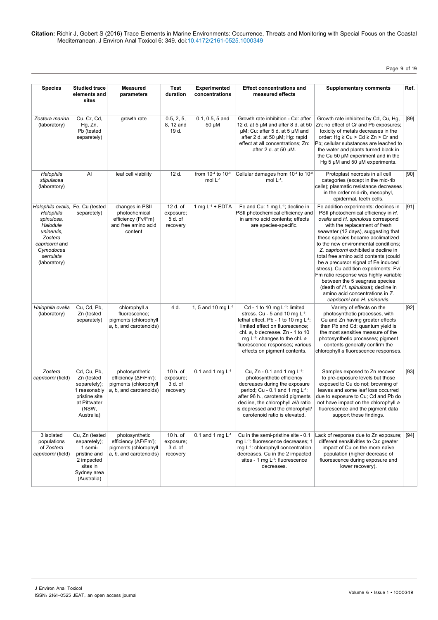Page 9 of 19

| <b>Species</b>                                                                                                                                | <b>Studied trace</b><br>elements and<br>sites                                                                     | <b>Measured</b><br>parameters                                                             | Test<br>duration                             | <b>Experimented</b><br>concentrations    | <b>Effect concentrations and</b><br>measured effects                                                                                                                                                                                                                                                    | <b>Supplementary comments</b>                                                                                                                                                                                                                                                                                                                                                                                                                                                                                                                                                                                                | Ref.   |
|-----------------------------------------------------------------------------------------------------------------------------------------------|-------------------------------------------------------------------------------------------------------------------|-------------------------------------------------------------------------------------------|----------------------------------------------|------------------------------------------|---------------------------------------------------------------------------------------------------------------------------------------------------------------------------------------------------------------------------------------------------------------------------------------------------------|------------------------------------------------------------------------------------------------------------------------------------------------------------------------------------------------------------------------------------------------------------------------------------------------------------------------------------------------------------------------------------------------------------------------------------------------------------------------------------------------------------------------------------------------------------------------------------------------------------------------------|--------|
| Zostera marina<br>(laboratory)                                                                                                                | Cu, Cr, Cd,<br>Hg, Zn,<br>Pb (tested<br>separetely)                                                               | growth rate                                                                               | 0.5, 2, 5,<br>8, 12 and<br>19 d.             | $0.1, 0.5, 5$ and<br>$50 \mu M$          | Growth rate inhibition - Cd: after<br>12 d. at 5 $\mu$ M and after 8 d. at 50<br>$\mu$ M; Cu: after 5 d. at 5 $\mu$ M and<br>after 2 d. at 50 µM; Hg: rapid<br>effect at all concentrations; Zn:<br>after 2 d. at 50 $\mu$ M.                                                                           | Growth rate inhibited by Cd, Cu, Hg,<br>Zn; no effect of Cr and Pb exposures;<br>toxicity of metals decreases in the<br>order: Hg $\ge$ Cu $>$ Cd $\ge$ Zn $>$ Cr and<br>Pb; cellular substances are leached to<br>the water and plants turned black in<br>the Cu 50 µM experiment and in the<br>Hg 5 $\mu$ M and 50 $\mu$ M experiments.                                                                                                                                                                                                                                                                                    | $[89]$ |
| Halophila<br>stipulacea<br>(laboratory)                                                                                                       | Al                                                                                                                | leaf cell viability                                                                       | 12 d.                                        | from $10^{-4}$ to $10^{-9}$<br>mol $L-1$ | Cellular damages from $10^{-4}$ to $10^{-8}$<br>mol $L^{-1}$ .                                                                                                                                                                                                                                          | Protoplast necrosis in all cell<br>categories (except in the mid-rib<br>cells); plasmatic resistance decreases<br>in the order mid-rib, mesophyl,<br>epidermal, teeth cells.                                                                                                                                                                                                                                                                                                                                                                                                                                                 | $[90]$ |
| Halophila ovalis,<br>Halophila<br>spinulosa,<br>Halodule<br>uninervis,<br>Zostera<br>capricorni and<br>Cymodocea<br>serrulata<br>(laboratory) | Fe, Cu (tested<br>separetely)                                                                                     | changes in PSII<br>photochemical<br>efficiency (Fv/Fm)<br>and free amino acid<br>content  | 12 d. of<br>exposure;<br>5 d. of<br>recovery | 1 mg $L^{-1}$ + EDTA                     | Fe and Cu: 1 mg $L^{-1}$ ; decline in<br>PSII photochemical efficiency and<br>in amino acid contents; effects<br>are species-specific.                                                                                                                                                                  | Fe addition experiments: declines in<br>PSII photochemical efficiency in H.<br>ovalis and H. spinulosa correspond<br>with the replacement of fresh<br>seawater (12 days), suggesting that<br>these species became acclimatized<br>to the new environmental conditions;<br>Z. capricorni exhibited a decline in<br>total free amino acid contents (could<br>be a precursor signal of Fe induced<br>stress). Cu addition experiments: Fv/<br>Fm ratio response was highly variable<br>between the 5 seagrass species<br>(death of H. spinulosa); decline in<br>amino acid concentrations in Z.<br>capricorni and H. uninervis. | $[91]$ |
| Halophila ovalis<br>(laboratory)                                                                                                              | Cu, Cd, Pb,<br>Zn (tested<br>separately)                                                                          | chlorophyll a<br>fluorescence;<br>pigments (chlorophyll<br>a, b, and carotenoids)         | 4 d.                                         | 1, 5 and 10 mg L <sup>-1</sup>           | Cd - 1 to 10 mg $L^{-1}$ : limited<br>stress. Cu - 5 and 10 mg $L^{-1}$ :<br>lethal effect. Pb - 1 to 10 mg $L^{-1}$ :<br>limited effect on fluorescence;<br>chl. a, b decrease. Zn - 1 to 10<br>mg $L^{-1}$ : changes to the chl. a<br>fluorescence responses; various<br>effects on pigment contents. | Variety of effects on the<br>photosynthetic processes, with<br>Cu and Zn having greater effects<br>than Pb and Cd; quantum yield is<br>the most sensitive measure of the<br>photosynthetic processes; pigment<br>contents generally confirm the<br>chlorophyll a fluorescence responses.                                                                                                                                                                                                                                                                                                                                     | $[92]$ |
| Zostera<br>capricorni (field)                                                                                                                 | Cd, Cu, Pb,<br>Zn (tested<br>separetely);<br>1 reasonably<br>pristine site<br>at Pittwater<br>(NSW,<br>Australia) | photosynthetic<br>efficiency (ΔF/Fm');<br>pigments (chlorophyll<br>a, b, and carotenoids) | 10 h. of<br>exposure;<br>3 d. of<br>recovery | 0.1 and 1 mg $L^{-1}$                    | Cu, Zn - 0.1 and 1 mg $L^{-1}$ :<br>photosynthetic efficiency<br>decreases during the exposure<br>period; Cu - 0.1 and 1 mg $L^{-1}$ :<br>after 96 h., carotenoid pigments<br>decline, the chlorophyll a/b ratio<br>is depressed and the chlorophyll/<br>carotenoid ratio is elevated.                  | Samples exposed to Zn recover<br>to pre-exposure levels but those<br>exposed to Cu do not; browning of<br>leaves and some leaf loss occurred<br>due to exposure to Cu; Cd and Pb do<br>not have impact on the chlorophyll a<br>fluorescence and the pigment data<br>support these findings.                                                                                                                                                                                                                                                                                                                                  | $[93]$ |
| 3 isolated<br>populations<br>of Zostera<br>capricorni (field)                                                                                 | Cu, Zn (tested<br>separetely);<br>1 semi-<br>pristine and<br>2 impacted<br>sites in<br>Sydney area<br>(Australia) | photosynthetic<br>efficiency (ΔF/Fm');<br>pigments (chlorophyll<br>a, b, and carotenoids) | 10 h. of<br>exposure;<br>3 d. of<br>recovery | 0.1 and 1 mg $L^{-1}$                    | Cu in the semi-pristine site - 0.1<br>mg L <sup>-1</sup> : fluorescence decreases; 1<br>mg L-1: chlorophyll concentration<br>decreases. Cu in the 2 impacted<br>sites - 1 mg L-1: fluorescence<br>decreases.                                                                                            | Lack of response due to Zn exposure;<br>different sensitivities to Cu: greater<br>impact of Cu on the more naïve<br>population (higher decrease of<br>fluorescence during exposure and<br>lower recovery).                                                                                                                                                                                                                                                                                                                                                                                                                   | $[94]$ |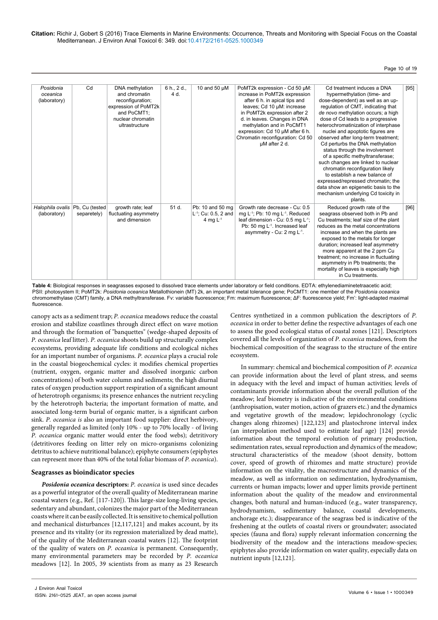Page 10 of 19

| Posidonia<br>oceanica<br>(laboratory)             | Cd          | DNA methylation<br>and chromatin<br>reconfiguration;<br>expression of PoMT2k<br>and PoCMT1:<br>nuclear chromatin<br>ultrastructure | 6 h., 2 d.,<br>4 d. | 10 and 50 µM                                                   | PoMT2k expression - Cd 50 µM:<br>increase in PoMT2k expression<br>after 6 h. in apical tips and<br>leaves; Cd 10 µM: increase<br>in PoMT2k expression after 2<br>d. in leaves. Changes in DNA<br>methylation and in PoCMT1<br>expression: Cd 10 µM after 6 h.<br>Chromatin reconfiguration: Cd 50<br>µM after 2 d. | Cd treatment induces a DNA<br>hypermethylation (time- and<br>dose-dependent) as well as an up-<br>regulation of CMT, indicating that<br>de novo methylation occurs; a high<br>dose of Cd leads to a progressive<br>heterochromatinization of interphase<br>nuclei and apoptotic figures are<br>observed after long-term treatment;<br>Cd perturbs the DNA methylation<br>status through the involvement<br>of a specific methyltransferase;<br>such changes are linked to nuclear<br>chromatin reconfiguration likely<br>to establish a new balance of<br>expressed/repressed chromatin; the<br>data show an epigenetic basis to the<br>mechanism underlying Cd toxicity in<br>plants. | [95]   |
|---------------------------------------------------|-------------|------------------------------------------------------------------------------------------------------------------------------------|---------------------|----------------------------------------------------------------|--------------------------------------------------------------------------------------------------------------------------------------------------------------------------------------------------------------------------------------------------------------------------------------------------------------------|----------------------------------------------------------------------------------------------------------------------------------------------------------------------------------------------------------------------------------------------------------------------------------------------------------------------------------------------------------------------------------------------------------------------------------------------------------------------------------------------------------------------------------------------------------------------------------------------------------------------------------------------------------------------------------------|--------|
| Halophila ovalis   Pb, Cu (tested<br>(laboratory) | separetely) | growth rate; leaf<br>fluctuating asymmetry<br>and dimension                                                                        | 51 d.               | Pb: 10 and 50 mg<br>$L^{-1}$ ; Cu: 0.5, 2 and<br>4 mg $L^{-1}$ | Growth rate decrease - Cu: 0.5<br>mg $L^{-1}$ ; Pb: 10 mg $L^{-1}$ . Reduced<br>leaf dimension - Cu: 0.5 mg L <sup>-1</sup> ;<br>Pb: 50 mg L <sup>-1</sup> . Increased leaf<br>asymmetry - Cu: 2 mg $L^{-1}$ .                                                                                                     | Reduced growth rate of the<br>seagrass observed both in Pb and<br>Cu treatments; leaf size of the plant<br>reduces as the metal concentrations<br>increase and when the plants are<br>exposed to the metals for longer<br>duration; increased leaf asymmetry<br>more apparent at the 2 ppm Cu<br>treatment; no increase in fluctuating<br>asymmetry in Pb treatments; the<br>mortality of leaves is especially high<br>in Cu treatments.                                                                                                                                                                                                                                               | $[96]$ |

**Table 4:** Biological responses in seagrasses exposed to dissolved trace elements under laboratory or field conditions. EDTA: ethylenediaminetetraacetic acid; PSII: photosystem II; PoMT2k: *Posidonia oceanica* Metallothionein (MT) 2k, an important metal tolerance gene; PoCMT1: one member of the *Posidonia oceanica*  chromomethylase (CMT) family, a DNA methyltransferase. Fv: variable fluorescence; Fm: maximum fluorescence; ΔF: fluorescence yield; Fm': light-adapted maximal fluorescence.

canopy acts as a sediment trap; *P. oceanica* meadows reduce the coastal erosion and stabilize coastlines through direct effect on wave motion and through the formation of "banquettes" (wedge-shaped deposits of *P. oceanica* leaf litter). *P. oceanica* shoots build up structurally complex ecosystems, providing adequate life conditions and ecological niches for an important number of organisms. *P. oceanica* plays a crucial role in the coastal biogeochemical cycles: it modifies chemical properties (nutrient, oxygen, organic matter and dissolved inorganic carbon concentrations) of both water column and sediments; the high diurnal rates of oxygen production support respiration of a significant amount of heterotroph organisms; its presence enhances the nutrient recycling by the heterotroph bacteria; the important formation of matte, and associated long-term burial of organic matter, is a significant carbon sink. *P. oceanica is* also an important food supplier: direct herbivory, generally regarded as limited (only 10% - up to 70% locally - of living *P. oceanica* organic matter would enter the food webs); detritivory (detritivores feeding on litter rely on micro-organisms colonizing detritus to achieve nutritional balance); epiphyte consumers (epiphytes can represent more than 40% of the total foliar biomass of *P. oceanica*).

## **Seagrasses as bioindicator species**

*Posidonia oceanica* **descriptors:** *P. oceanica* is used since decades as a powerful integrator of the overall quality of Mediterranean marine coastal waters (e.g., Ref. [117-120]). This large-size long-living species, sedentary and abundant, colonizes the major part of the Mediterranean coasts where it can be easily collected. It is sensitive to chemical pollution and mechanical disturbances [12,117,121] and makes account, by its presence and its vitality (or its regression materialized by dead matte), of the quality of the Mediterranean coastal waters [12]. The footprint of the quality of waters on *P. oceanica* is permanent. Consequently, many environmental parameters may be recorded by *P. oceanica* meadows [12]. In 2005, 39 scientists from as many as 23 Research

*oceanica* in order to better define the respective advantages of each one to assess the good ecological status of coastal zones [121]. Descriptors covered all the levels of organization of *P. oceanica* meadows, from the biochemical composition of the seagrass to the structure of the entire ecosystem. In summary: chemical and biochemical composition of *P. oceanica*

Centres synthetized in a common publication the descriptors of *P.* 

can provide information about the level of plant stress, and seems in adequacy with the level and impact of human activities; levels of contaminants provide information about the overall pollution of the meadow; leaf biometry is indicative of the environmental conditions (anthropisation, water motion, action of grazers etc.) and the dynamics and vegetative growth of the meadow; lepidochronology (cyclic changes along rhizomes) [122,123] and plastochrone interval index (an interpolation method used to estimate leaf age) [124] provide information about the temporal evolution of primary production, sedimentation rates, sexual reproduction and dynamics of the meadow; structural characteristics of the meadow (shoot density, bottom cover, speed of growth of rhizomes and matte structure) provide information on the vitality, the macrostructure and dynamics of the meadow, as well as information on sedimentation, hydrodynamism, currents or human impacts; lower and upper limits provide pertinent information about the quality of the meadow and environmental changes, both natural and human-induced (e.g., water transparency, hydrodynamism, sedimentary balance, coastal developments, anchorage etc.); disappearance of the seagrass bed is indicative of the freshening at the outlets of coastal rivers or groundwater; associated species (fauna and flora) supply relevant information concerning the biodiversity of the meadow and the interactions meadow-species; epiphytes also provide information on water quality, especially data on nutrient inputs [12,121].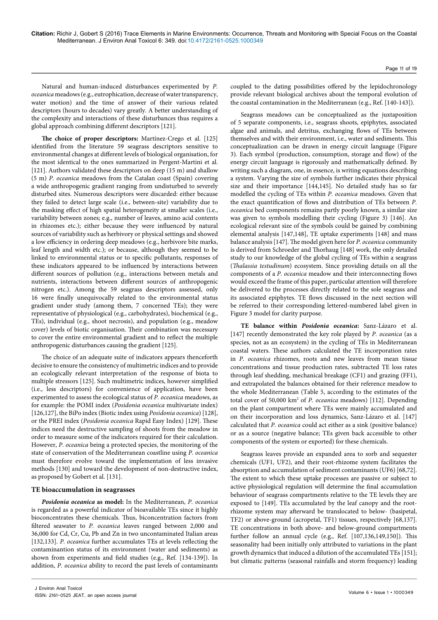Natural and human-induced disturbances experimented by *P. oceanica* meadows (e.g., eutrophication, decrease of water transparency, water motion) and the time of answer of their various related descriptors (hours to decades) vary greatly. A better understanding of the complexity and interactions of these disturbances thus requires a global approach combining different descriptors [121].

**The choice of proper descriptors:** Martínez-Crego et al. [125] identified from the literature 59 seagrass descriptors sensitive to environmental changes at different levels of biological organisation, for the most identical to the ones summarized in Pergent-Martini et al. [121]. Authors validated these descriptors on deep (15 m) and shallow (5 m) *P. oceanica* meadows from the Catalan coast (Spain) covering a wide anthropogenic gradient ranging from undisturbed to severely disturbed sites. Numerous descriptors were discarded: either because they failed to detect large scale (i.e., between-site) variability due to the masking effect of high spatial heterogeneity at smaller scales (i.e., variability between zones; e.g., number of leaves, amino acid contents in rhizomes etc.); either because they were influenced by natural sources of variability such as herbivory or physical settings and showed a low efficiency in ordering deep meadows (e.g., herbivore bite marks, leaf length and width etc.); or because, although they seemed to be linked to environmental status or to specific pollutants, responses of these indicators appeared to be influenced by interactions between different sources of pollution (e.g., interactions between metals and nutrients, interactions between different sources of anthropogenic nitrogen etc.). Among the 59 seagrass descriptors assessed, only 16 were finally unequivocally related to the environmental status gradient under study (among them, 7 concerned TEs); they were representative of physiological (e.g., carbohydrates), biochemical (e.g., TEs), individual (e.g., shoot necrosis), and population (e.g., meadow cover) levels of biotic organisation. Their combination was necessary to cover the entire environmental gradient and to reflect the multiple anthropogenic disturbances causing the gradient [125].

The choice of an adequate suite of indicators appears thenceforth decisive to ensure the consistency of multimetric indices and to provide an ecologically relevant interpretation of the response of biota to multiple stressors [125]. Such multimetric indices, however simplified (i.e., less descriptors) for convenience of application, have been experimented to assess the ecological status of *P. oceanica* meadows, as for example: the POMI index (*Posidonia oceanica* multivariate index) [126,127], the BiPo index (Biotic index using *Posidonia oceanica*) [128], or the PREI index (*Posidonia oceanica* Rapid Easy Index) [129]. These indices need the destructive sampling of shoots from the meadow in order to measure some of the indicators required for their calculation. However, *P. oceanica* being a protected species, the monitoring of the state of conservation of the Mediterranean coastline using *P. oceanica* must therefore evolve toward the implementation of less invasive methods [130] and toward the development of non-destructive index, as proposed by Gobert et al. [131].

## **TE bioaccumulation in seagrasses**

*Posidonia oceanica* **as model:** In the Mediterranean, *P. oceanica* is regarded as a powerful indicator of bioavailable TEs since it highly bioconcentrates these chemicals. Thus, biconcentration factors from filtered seawater to *P. oceanica* leaves ranged between 2,000 and 36,000 for Cd, Cr, Cu, Pb and Zn in two uncontaminated Italian areas [132,133]. *P. oceanica* further accumulates TEs at levels reflecting the contaminantion status of its environment (water and sediments) as shown from experiments and field studies (e.g., Ref. [134-139]). In addition, *P. oceanica* ability to record the past levels of contaminants

coupled to the dating possibilities offered by the lepidochronology provide relevant biological archives about the temporal evolution of the coastal contamination in the Mediterranean (e.g., Ref. [140-143]).

Seagrass meadows can be conceptualized as the juxtaposition of 5 separate components, i.e., seagrass shoots, epiphytes, associated algae and animals, and detritus, exchanging flows of TEs between themselves and with their environment, i.e., water and sediments. This conceptualization can be drawn in energy circuit language (Figure 3). Each symbol (production, consumption, storage and flow) of the energy circuit language is rigorously and mathematically defined. By writing such a diagram, one, in essence, is writing equations describing a system. Varying the size of symbols further indicates their physical size and their importance [144,145]. No detailed study has so far modelled the cycling of TEs within *P. oceanica* meadows. Given that the exact quantification of flows and distribution of TEs between *P. oceanica* bed components remains partly poorly known, a similar size was given to symbols modelling their cycling (Figure 3) [146]. An ecological relevant size of the symbols could be gained by combining elemental analysis [147,148], TE uptake experiments [148] and mass balance analysis [147]. The model given here for *P. oceanica* community is derived from Schroeder and Thorhaug [148] work, the only detailed study to our knowledge of the global cycling of TEs within a seagrass (*Thalassia testudinum*) ecosystem. Since providing details on all the components of a *P. oceanica* meadow and their interconnecting flows would exceed the frame of this paper, particular attention will therefore be delivered to the processes directly related to the sole seagrass and its associated epiphytes. TE flows discussed in the next section will be referred to their corresponding lettered-numbered label given in Figure 3 model for clarity purpose.

**TE balance within** *Posidonia oceanica***:** Sanz-Lázaro et al. [147] recently demonstrated the key role played by *P. oceanica* (as a species, not as an ecosystem) in the cycling of TEs in Mediterranean coastal waters. These authors calculated the TE incorporation rates in *P. oceanica* rhizomes, roots and new leaves from mean tissue concentrations and tissue production rates, subtracted TE loss rates through leaf shedding, mechanical breakage (CF1) and grazing (FF1), and extrapolated the balances obtained for their reference meadow to the whole Mediterranean (Table 5, according to the estimates of the total cover of 50,000 km<sup>2</sup> of *P. oceanica* meadows) [112]. Depending on the plant compartment where TEs were mainly accumulated and on their incorporation and loss dynamics, Sanz-Lázaro et al. [147] calculated that *P. oceanica* could act either as a sink (positive balance) or as a source (negative balance; TEs given back accessible to other components of the system or exported) for these chemicals.

Seagrass leaves provide an expanded area to sorb and sequester chemicals (UF1, UF2), and their root-rhizome system facilitates the absorption and accumulation of sediment contaminants (UF6) [68,72]. The extent to which these uptake processes are passive or subject to active physiological regulation will determine the final accumulation behaviour of seagrass compartments relative to the TE levels they are exposed to [149]. TEs accumulated by the leaf canopy and the rootrhizome system may afterward be translocated to below- (basipetal, TF2) or above-ground (acropetal, TF1) tissues, respectively [68,137]. TE concentrations in both above- and below-ground compartments further follow an annual cycle (e.g., Ref. [107,136,149,150]). This seasonality had been initially only attributed to variations in the plant growth dynamics that induced a dilution of the accumulated TEs [151]; but climatic patterns (seasonal rainfalls and storm frequency) leading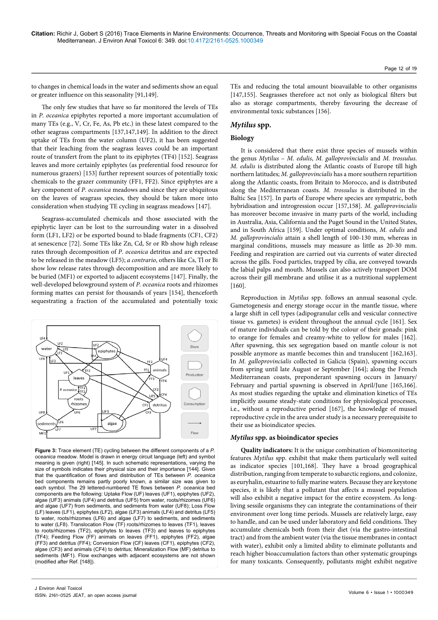to changes in chemical loads in the water and sediments show an equal or greater influence on this seasonality [91,149].

The only few studies that have so far monitored the levels of TEs in *P. oceanica* epiphytes reported a more important accumulation of many TEs (e.g., V, Cr, Fe, As, Pb etc.) in these latest compared to the other seagrass compartments [137,147,149]. In addition to the direct uptake of TEs from the water column (UF2), it has been suggested that their leaching from the seagrass leaves could be an important route of transfert from the plant to its epiphytes (TF4) [152]. Seagrass leaves and more certainly epiphytes (as preferential food resource for numerous grazers) [153] further represent sources of potentially toxic chemicals to the grazer community (FF1, FF2). Since epiphytes are a key component of *P. oceanica* meadows and since they are ubiquitous on the leaves of seagrass species, they should be taken more into consideration when studying TE cycling in seagrass meadows [147].

Seagrass-accumulated chemicals and those associated with the epiphytic layer can be lost to the surrounding water in a dissolved form (LF1, LF2) or be exported bound to blade fragments (CF1, CF2) at senescence [72]. Some TEs like Zn, Cd, Sr or Rb show high release rates through decomposition of *P. oceanica* detritus and are expected to be released in the meadow (LF5); *a contrario*, others like Cs, Tl or Bi show low release rates through decomposition and are more likely to be buried (MF1) or exported to adjacent ecosystems [147]. Finally, the well-developed belowground system of *P. oceanica* roots and rhizomes forming mattes can persist for thousands of years [154], thenceforth sequestrating a fraction of the accumulated and potentially toxic



**Figure 3:** Trace element (TE) cycling between the different components of a *P. oceanica* meadow. Model is drawn in energy circuit language (left) and symbol meaning is given (right) [145]. In such schematic representations, varying the size of symbols indicates their physical size and their importance [144]. Given that the quantification of flows and distribution of TEs between *P. oceanica* bed components remains partly poorly known, a similar size was given to each symbol. The 29 lettered-numbered TE flows between *P. oceanica* bed components are the following: Uptake Flow (UF) leaves (UF1), epiphytes (UF2), algae (UF3) animals (UF4) and detritus (UF5) from water, roots/rhizomes (UF6) and algae (UF7) from sediments, and sediments from water (UF8); Loss Flow (LF) leaves (LF1), epiphytes (LF2), algae (LF3) animals (LF4) and detritus (LF5) to water, roots/rhizomes (LF6) and algae (LF7) to sediments, and sediments to water (LF8). Translocation Flow (TF) roots/rhizomes to leaves (TF1), leaves to roots/rhizomes (TF2), epiphytes to leaves (TF3) and leaves to epiphytes (TF4); Feeding Flow (FF) animals on leaves (FF1), epiphytes (FF2), algae (FF3) and detritus (FF4); Conversion Flow (CF) leaves (CF1), epiphytes (CF2), algae (CF3) and animals (CF4) to detritus; Mineralization Flow (MF) detritus to sediments (MF1). Flow exchanges with adjacent ecosystems are not shown (modified after Ref. [148]).

TEs and reducing the total amount bioavailable to other organisms [147,155]. Seagrasses therefore act not only as biological filters but also as storage compartments, thereby favouring the decrease of environmental toxic substances [156].

# *Mytilus* **spp.**

# **Biology**

It is considered that there exist three species of mussels within the genus *Mytilus* – *M. edulis*, *M. galloprovincialis* and *M. trossulus*. *M. edulis* is distributed along the Atlantic coasts of Europe till high northern latitudes; *M. galloprovincialis* has a more southern repartition along the Atlantic coasts, from Britain to Morocco, and is distributed along the Mediterranean coasts. *M. trossulus* is distributed in the Baltic Sea [157]. In parts of Europe where species are sympatric, both hybridisation and introgression occur [157,158]. *M. galloprovincialis* has moreover become invasive in many parts of the world, including in Australia, Asia, California and the Puget Sound in the United States, and in South Africa [159]. Under optimal conditions, *M. edulis* and *M. galloprovincialis* attain a shell length of 100-130 mm, whereas in marginal conditions, mussels may measure as little as 20-30 mm. Feeding and respiration are carried out via currents of water directed across the gills. Food particles, trapped by cilia, are conveyed towards the labial palps and mouth. Mussels can also actively transport DOM across their gill membrane and utilise it as a nutritional supplement [160].

Reproduction in *Mytilus* spp. follows an annual seasonal cycle. Gametogenesis and energy storage occur in the mantle tissue, where a large shift in cell types (adipogranular cells and vesicular connective tissue vs. gametes) is evident throughout the annual cycle [161]. Sex of mature individuals can be told by the colour of their gonads: pink to orange for females and creamy-white to yellow for males [162]. After spawning, this sex segregation based on mantle colour is not possible anymore as mantle becomes thin and translucent [162,163]. In *M. galloprovincialis* collected in Galicia (Spain), spawning occurs from spring until late August or September [164]; along the French Mediterranean coasts, preponderant spawning occurs in January/ February and partial spawning is observed in April/June [165,166]. As most studies regarding the uptake and elimination kinetics of TEs implicitly assume steady-state conditions for physiological processes, i.e., without a reproductive period [167], the knowledge of mussel reproductive cycle in the area under study is a necessary prerequisite to their use as bioindicator species.

#### *Mytilus* **spp. as bioindicator species**

**Quality indicators:** It is the unique combination of biomonitoring features *Mytilus* spp. exhibit that make them particularly well suited as indicator species [101,168]. They have a broad geographical distribution, ranging from temperate to subarctic regions, and colonize, as euryhalin, estuarine to fully marine waters. Because they are keystone species, it is likely that a pollutant that affects a mussel population will also exhibit a negative impact for the entire ecosystem. As longliving sessile organisms they can integrate the contaminations of their environment over long time periods. Mussels are relatively large, easy to handle, and can be used under laboratory and field conditions. They accumulate chemicals both from their diet (via the gastro-intestinal tract) and from the ambient water (via the tissue membranes in contact with water), exhibit only a limited ability to eliminate pollutants and reach higher bioaccumulation factors than other systematic groupings for many toxicants. Consequently, pollutants might exhibit negative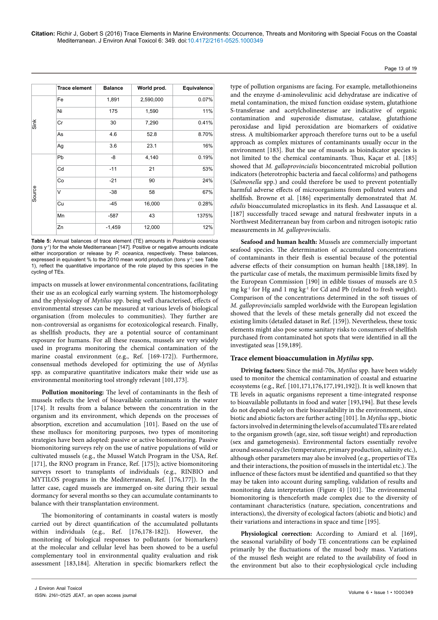|        | <b>Trace element</b> | <b>Balance</b> | World prod. | Equivalence |
|--------|----------------------|----------------|-------------|-------------|
|        | Fe                   | 1,891          | 2,590,000   | 0.07%       |
|        | Ni                   | 175            | 1,590       | 11%         |
| Sink   | Cr                   | 30             | 7,290       | 0.41%       |
|        | As                   | 4.6            | 52.8        | 8.70%       |
|        | Ag                   | 3.6            | 23.1        | 16%         |
| Source | Pb                   | -8             | 4,140       | 0.19%       |
|        | Cd                   | $-11$          | 21          | 53%         |
|        | Co                   | $-21$          | 90          | 24%         |
|        | V                    | $-38$          | 58          | 67%         |
|        | Cu                   | $-45$          | 16,000      | 0.28%       |
|        | Mn                   | $-587$         | 43          | 1375%       |
|        | Zn                   | $-1,459$       | 12,000      | 12%         |

**Table 5:** Annual balances of trace element (TE) amounts in *Posidonia oceanica* (tons y-1) for the whole Mediterranean [147]. Positive or negative amounts indicate either incorporation or release by *P. oceanica*, respectively. These balances, expressed in equivalent % to the 2010 mean world production (tons  $y^1$ ; see Table 1), reflect the quantitative importance of the role played by this species in the cycling of TEs.

impacts on mussels at lower environmental concentrations, facilitating their use as an ecological early warning system. The histomorphology and the physiology of *Mytilus* spp. being well characterised, effects of environmental stresses can be measured at various levels of biological organisation (from molecules to communities). They further are non-controversial as organisms for ecotoxicological research. Finally, as shellfish products, they are a potential source of contaminant exposure for humans. For all these reasons, mussels are very widely used in programs monitoring the chemical contamination of the marine coastal environment (e.g., Ref. [169-172]). Furthermore, consensual methods developed for optimizing the use of *Mytilus* spp. as comparative quantitative indicators make their wide use as environmental monitoring tool strongly relevant [101,173].

**Pollution monitoring:** The level of contaminants in the flesh of mussels reflects the level of bioavailable contaminants in the water [174]. It results from a balance between the concentration in the organism and its environment, which depends on the processes of absorption, excretion and accumulation [101]. Based on the use of these molluscs for monitoring purposes, two types of monitoring strategies have been adopted: passive or active biomonitoring. Passive biomonitoring surveys rely on the use of native populations of wild or cultivated mussels (e.g., the Mussel Watch Program in the USA, Ref. [171], the RNO program in France, Ref. [175]); active biomonitoring surveys resort to transplants of individuals (e.g., RINBIO and MYTILOS programs in the Mediterranean, Ref. [176,177]). In the latter case, caged mussels are immerged on-site during their sexual dormancy for several months so they can accumulate contaminants to balance with their transplantation environment.

The biomonitoring of contaminants in coastal waters is mostly carried out by direct quantification of the accumulated pollutants within individuals (e.g., Ref. [176,178-182]). However, the monitoring of biological responses to pollutants (or biomarkers) at the molecular and cellular level has been showed to be a useful complementary tool in environmental quality evaluation and risk assessment [183,184]. Alteration in specific biomarkers reflect the

type of pollution organisms are facing. For example, metallothioneins and the enzyme d-aminolevulinic acid dehydratase are indicative of metal contamination, the mixed function oxidase system, glutathione S-transferase and acetylcholinesterase are indicative of organic contamination and superoxide dismutase, catalase, glutathione peroxidase and lipid peroxidation are biomarkers of oxidative stress. A multibiomarker approach therefore turns out to be a useful approach as complex mixtures of contaminants usually occur in the environment [183]. But the use of mussels as bioindicator species is not limited to the chemical contaminants. Thus, Kaçar et al. [185] showed that *M. galloprovincialis* bioconcentrated microbial pollution indicators (heterotrophic bacteria and faecal coliforms) and pathogens (*Salmonella* spp.) and could therefore be used to prevent potentially harmful adverse effects of microorganisms from polluted waters and shellfish. Browne et al. [186] experimentally demonstrated that *M. edulis* bioaccumulated microplastics in its flesh. And Lassauque et al. [187] successfully traced sewage and natural freshwater inputs in a Northwest Mediterranean bay from carbon and nitrogen isotopic ratio measurements in *M. galloprovincialis*.

**Seafood and human health:** Mussels are commercially important seafood species. The determination of accumulated concentrations of contaminants in their flesh is essential because of the potential adverse effects of their consumption on human health [188,189]. In the particular case of metals, the maximum permissible limits fixed by the European Commission [190] in edible tissues of mussels are 0.5 mg kg-1 for Hg and 1 mg kg-1 for Cd and Pb (related to fresh weight). Comparison of the concentrations determined in the soft tissues of *M. galloprovincialis* sampled worldwide with the European legislation showed that the levels of these metals generally did not exceed the existing limits (detailed dataset in Ref. [159]). Nevertheless, these toxic elements might also pose some sanitary risks to consumers of shellfish purchased from contaminated hot spots that were identified in all the investigated seas [159,189].

# **Trace element bioaccumulation in** *Mytilus* **spp.**

**Driving factors:** Since the mid-70s, *Mytilus* spp. have been widely used to monitor the chemical contamination of coastal and estuarine ecosystems (e.g., Ref. [101,171,176,177,191,192]). It is well known that TE levels in aquatic organisms represent a time-integrated response to bioavailable pollutants in food and water [193,194]. But these levels do not depend solely on their bioavailability in the environment, since biotic and abiotic factors are further acting [101]. In *Mytilus* spp., biotic factors involved in determining the levels of accumulated TEs are related to the organism growth (age, size, soft tissue weight) and reproduction (sex and gametogenesis). Environmental factors essentially revolve around seasonal cycles (temperature, primary production, salinity etc.), although other parameters may also be involved (e.g., properties of TEs and their interactions, the position of mussels in the intertidal etc.). The influence of these factors must be identified and quantified so that they may be taken into account during sampling, validation of results and monitoring data interpretation (Figure 4) [101]. The environmental biomonitoring is thenceforth made complex due to the diversity of contaminant characteristics (nature, speciation, concentrations and interactions), the diversity of ecological factors (abiotic and biotic) and their variations and interactions in space and time [195].

**Physiological correction:** According to Amiard et al. [169], the seasonal variability of body TE concentrations can be explained primarily by the fluctuations of the mussel body mass. Variations of the mussel flesh weight are related to the availability of food in the environment but also to their ecophysiological cycle including

#### Page 13 of 19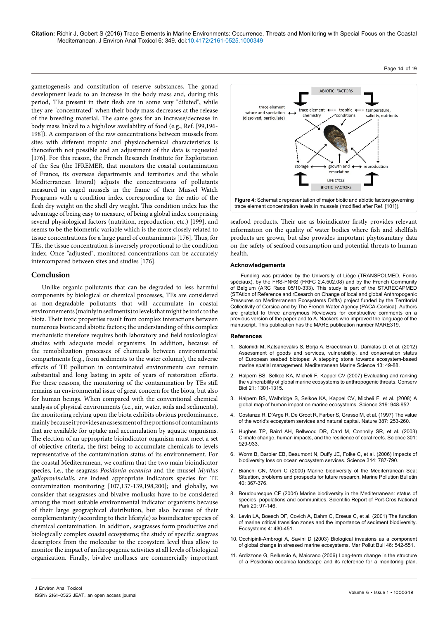gametogenesis and constitution of reserve substances. The gonad development leads to an increase in the body mass and, during this period, TEs present in their flesh are in some way "diluted", while they are "concentrated" when their body mass decreases at the release of the breeding material. The same goes for an increase/decrease in body mass linked to a high/low availability of food (e.g., Ref. [99,196- 198]). A comparison of the raw concentrations between mussels from sites with different trophic and physicochemical characteristics is thenceforth not possible and an adjustment of the data is requested [176]. For this reason, the French Research Institute for Exploitation of the Sea (the IFREMER, that monitors the coastal contamination of France, its overseas departments and territories and the whole Mediterranean littoral) adjusts the concentrations of pollutants measured in caged mussels in the frame of their Mussel Watch Programs with a condition index corresponding to the ratio of the flesh dry weight on the shell dry weight. This condition index has the advantage of being easy to measure, of being a global index comprising several physiological factors (nutrition, reproduction, etc.) [199], and seems to be the biometric variable which is the more closely related to tissue concentrations for a large panel of contaminants [176]. Thus, for TEs, the tissue concentration is inversely proportional to the condition index. Once "adjusted", monitored concentrations can be accurately intercompared between sites and studies [176].

## **Conclusion**

Unlike organic pollutants that can be degraded to less harmful components by biological or chemical processes, TEs are considered as non-degradable pollutants that will accumulate in coastal environnements (mainly in sediments) to levels that might be toxic to the biota. Their toxic properties result from complex interactions between numerous biotic and abiotic factors; the understanding of this complex mechanistic therefore requires both laboratory and field toxicological studies with adequate model organisms. In addition, because of the remobilization processes of chemicals between environmental compartments (e.g., from sediments to the water column), the adverse effects of TE pollution in contaminated environments can remain substantial and long lasting in spite of years of restoration efforts. For these reasons, the monitoring of the contamination by TEs still remains an environmental issue of great concern for the biota, but also for human beings. When compared with the conventional chemical analysis of physical environments (i.e., air, water, soils and sediments), the monitoring relying upon the biota exhibits obvious predominance, mainly because it provides an assessment of the portions of contaminants that are available for uptake and accumulation by aquatic organisms. The election of an appropriate bioindicator organism must meet a set of objective criteria, the first being to accumulate chemicals to levels representative of the contamination status of its environnement. For the coastal Mediterranean, we confirm that the two main bioindicator species, i.e., the seagrass *Posidonia oceanica* and the mussel *Mytilus galloprovincialis*, are indeed appropriate indicators species for TE contamination monitoring [107,137-139,198,200]; and globally, we consider that seagrasses and bivalve mollusks have to be considered among the most suitable environmental indicator organisms because of their large geographical distribution, but also because of their complementarity (according to their lifestyle) as bioindicator species of chemical contamination. In addition, seagrasses form productive and biologically complex coastal ecosystems; the study of specific seagrass descriptors from the molecular to the ecosystem level thus allow to monitor the impact of anthropogenic activities at all levels of biological organization. Finally, bivalve molluscs are commercially important



seafood products. Their use as bioindicator firstly provides relevant information on the quality of water bodies where fish and shellfish products are grown, but also provides important phytosanitary data on the safety of seafood consumption and potential threats to human health.

#### **Acknowledgements**

Funding was provided by the University of Liège (TRANSPOLMED, Fonds spéciaux), by the FRS-FNRS (FRFC 2.4.502.08) and by the French Community of Belgium (ARC Race 05/10-333). This study is part of the STARECAPMED (STAtion of Reference and rEsearch on Change of local and global Anthropogenic Pressures on Mediterranean Ecosystems Drifts) project funded by the Territorial Collectivity of Corsica and by The French Water Agency (PACA-Corsica). Authors are grateful to three anonymous Reviewers for constructive comments on a previous version of the paper and to A. Nackers who improved the language of the manuscript. This publication has the MARE publication number MARE319.

#### **References**

- 1. [Salomidi M, Katsanevakis S, Borja A, Braeckman U, Damalas D, et al. \(2012\)](http://www.medit-mar-sc.net/index.php/marine/article/view/23)  [Assessment of goods and services, vulnerability, and conservation status](http://www.medit-mar-sc.net/index.php/marine/article/view/23)  [of European seabed biotopes: A stepping stone towards ecosystem-based](http://www.medit-mar-sc.net/index.php/marine/article/view/23)  [marine spatial management. Mediterranean Marine Science 13: 49-88.](http://www.medit-mar-sc.net/index.php/marine/article/view/23)
- 2. [Halpern BS, Selkoe KA, Micheli F, Kappel CV \(2007\) Evaluating and ranking](http://www.ncbi.nlm.nih.gov/pubmed/17883495)  [the vulnerability of global marine ecosystems to anthropogenic threats. Conserv](http://www.ncbi.nlm.nih.gov/pubmed/17883495)  [Biol 21: 1301-1315.](http://www.ncbi.nlm.nih.gov/pubmed/17883495)
- 3. [Halpern BS, Walbridge S, Selkoe KA, Kappel CV, Micheli F, et al. \(2008\) A](http://www.ncbi.nlm.nih.gov/pubmed/18276889)  [global map of human impact on marine ecosystems. Science 319: 948-952.](http://www.ncbi.nlm.nih.gov/pubmed/18276889)
- 4. [Costanza R, D'Arge R, De Groot R, Farber S, Grasso M, et al. \(1997\) The value](http://www.nature.com/nature/journal/v387/n6630/full/387253a0.html)  [of the world's ecosystem services and natural capital. Nature 387: 253-260.](http://www.nature.com/nature/journal/v387/n6630/full/387253a0.html)
- 5. [Hughes TP, Baird AH, Bellwood DR, Card M, Connolly SR, et al. \(2003\)](http://www.ncbi.nlm.nih.gov/pubmed/12920289)  [Climate change, human impacts, and the resilience of coral reefs. Science 301:](http://www.ncbi.nlm.nih.gov/pubmed/12920289)  [929-933.](http://www.ncbi.nlm.nih.gov/pubmed/12920289)
- 6. [Worm B, Barbier EB, Beaumont N, Duffy JE, Folke C, et al. \(2006\) Impacts of](http://www.ncbi.nlm.nih.gov/pubmed/17082450)  [biodiversity loss on ocean ecosystem services. Science 314: 787-790.](http://www.ncbi.nlm.nih.gov/pubmed/17082450)
- Bianchi CN, Morri C (2000) Marine biodiversity of the Mediterranean Sea: [Situation, problems and prospects for future research. Marine Pollution Bulletin](http://www.sciencedirect.com/science/article/pii/S0025326X00000278)  [40: 367-376.](http://www.sciencedirect.com/science/article/pii/S0025326X00000278)
- 8. [Boudouresque CF \(2004\) Marine biodiversity in the Mediterranean: status of](http://www.com.univ-mrs.fr/~boudouresque/Publications_pdf/Boudouresque_2004_Biodiversity_Mediterranean_SRPNP.pdf)  [species, populations and communities. Scientific Report of Port-Cros National](http://www.com.univ-mrs.fr/~boudouresque/Publications_pdf/Boudouresque_2004_Biodiversity_Mediterranean_SRPNP.pdf)  [Park 20: 97-146.](http://www.com.univ-mrs.fr/~boudouresque/Publications_pdf/Boudouresque_2004_Biodiversity_Mediterranean_SRPNP.pdf)
- 9. [Levin LA, Boesch DF, Covich A, Dahm C, Erseus C, et al. \(2001\) The function](http://link.springer.com/article/10.1007%2Fs10021-001-0021-4)  [of marine critical transition zones and the importance of sediment biodiversity.](http://link.springer.com/article/10.1007%2Fs10021-001-0021-4)  [Ecosystems 4: 430-451.](http://link.springer.com/article/10.1007%2Fs10021-001-0021-4)
- 10. [Occhipinti-Ambrogi A, Savini D \(2003\) Biological invasions as a component](http://www.ncbi.nlm.nih.gov/pubmed/12735951)  [of global change in stressed marine ecosystems. Mar Pollut Bull 46: 542-551.](http://www.ncbi.nlm.nih.gov/pubmed/12735951)
- 11. [Ardizzone G, Belluscio A, Maiorano \(2006\) Long-term change in the structure](http://onlinelibrary.wiley.com/doi/10.1111/j.1439-0485.2006.00128.x/abstract)  [of a Posidonia oceanica landscape and its reference for a monitoring plan.](http://onlinelibrary.wiley.com/doi/10.1111/j.1439-0485.2006.00128.x/abstract)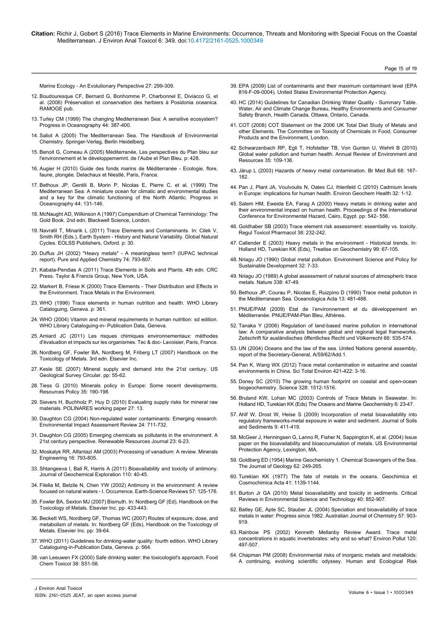Page 15 of 19

[Marine Ecology - An Evolutionary Perspective 27: 299-309.](http://onlinelibrary.wiley.com/doi/10.1111/j.1439-0485.2006.00128.x/abstract)

- 12. Boudouresque CF, Bernard G, Bonhomme P, Charbonnel E, Diviacco G, et al. (2006) Préservation et conservation des herbiers à Posidonia oceanica. RAMOGE pub.
- 13. [Turley CM \(1999\) The changing Mediterranean Sea: A sensitive ecosystem?](http://www.ingentaconnect.com/content/els/00796611/1999/00000044/00000001/art00033) [Progress in Oceanography 44: 387-400.](http://www.ingentaconnect.com/content/els/00796611/1999/00000044/00000001/art00033)
- 14. Saliot A (2005) The Mediterranean Sea. The Handbook of Environmental Chemistry. Springer-Verlag, Berlin Heidelberg.
- 15. [Benoit G, Comeau A \(2005\) Méditerranée, Les perspectives du Plan bleu sur](https://www.cairn.info/resume.php?ID_ARTICLE=MEDI_107_0116) [l'environnement et le développememnt. de l'Aube et Plan Bleu. p: 428.](https://www.cairn.info/resume.php?ID_ARTICLE=MEDI_107_0116)
- 16. Augier H (2010) Guide des fonds marins de Méditerranée Ecologie, flore, faune, plongée. Delachaux et Niestlé, Paris, France.
- 17. [Bethoux JP, Gentili B, Morin P, Nicolas E, Pierre C, et al. \(1999\) The](http://www.sciencedirect.com/science/article/pii/S0079661199000233) [Mediterranean Sea: A miniature ocean for climatic and environmental studies](http://www.sciencedirect.com/science/article/pii/S0079661199000233) [and a key for the climatic functioning of the North Atlantic. Progress in](http://www.sciencedirect.com/science/article/pii/S0079661199000233) [Oceanography 44: 131-146.](http://www.sciencedirect.com/science/article/pii/S0079661199000233)
- 18. McNaught AD, Wilkinson A (1997) Compendium of Chemical Terminology: The Gold Book. 2nd edn. Blackwell Science, London.
- 19. Navratil T, Minarik L (2011) Trace Elements and Contaminants. In: Cilek V, Smith RH (Eds.), Earth System - History and Natural Variability. Global Natural Cycles. EOLSS Publishers, Oxford. p: 30.
- 20. [Duffus JH \(2002\) "Heavy metals" A meaningless term? \(IUPAC technical](http://www.iupac.org/publications/pac/74/5/0793/) [report\). Pure and Applied Chemistry 74: 793-807.](http://www.iupac.org/publications/pac/74/5/0793/)
- 21. [Kabata-Pendias A \(2011\) Trace Elements in Soils and Plants. 4th edn. CRC](https://hwbdocuments.env.nm.gov/Los Alamos National Labs/References/9372.PDF) [Press. Taylor & Francis Group, New York, USA.](https://hwbdocuments.env.nm.gov/Los Alamos National Labs/References/9372.PDF)
- 22. [Markert B, Friese K \(2000\) Trace Elements Their Distribution and Effects in](http://www.sciencedirect.com/science/bookseries/09275215/4) [the Environment. Trace Metals in the Environment.](http://www.sciencedirect.com/science/bookseries/09275215/4)
- 23. [WHO \(1996\) Trace elements in human nutrition and health. WHO Library](http://www.who.int/nutrition/publications/micronutrients/9241561734/en/) [Cataloguing, Geneva. p: 361.](http://www.who.int/nutrition/publications/micronutrients/9241561734/en/)
- 24. WHO (2004) Vitamin and mineral requirements in human nutrition: sd edition. WHO Library Cataloguing-in- Publication Data, Geneva.
- 25. Amiard JC (2011) Les risques chimiques environnementaux: méthodes d'évaluation et impacts sur les organismes. Tec & doc- Lavoisier, Paris, France.
- 26. [Nordberg GF, Fowler BA, Nordberg M, Friberg LT \(2007\) Handbook on the](http://www.sciencedirect.com/science/book/9780123694133) [Toxicology of Metals. 3rd edn. Elsevier Inc.](http://www.sciencedirect.com/science/book/9780123694133)
- 27. [Kesle SE \(2007\) Mineral supply and demand into the 21st century. US](http://pubs.usgs.gov/circ/2007/1294/reports/paper9.pdf) [Geological Survey Circular. pp: 55-62.](http://pubs.usgs.gov/circ/2007/1294/reports/paper9.pdf)
- 28. [Tiess G \(2010\) Minerals policy in Europe: Some recent developments.](http://www.sciencedirect.com/science/article/pii/S0301420710000255) [Resources Policy 35: 190-198.](http://www.sciencedirect.com/science/article/pii/S0301420710000255)
- 29. [Sievers H, Buchholz P, Huy D \(2010\) Evaluating supply risks for mineral raw](http://www.polinares.eu/docs/polinares_rmg_aims2010.pdf) [materials. POLINARES working paper 27: 13.](http://www.polinares.eu/docs/polinares_rmg_aims2010.pdf)
- 30. [Daughton CG \(2004\) Non-regulated water contaminants: Emerging research.](http://www.sciencedirect.com/science/article/pii/S0195925504000721) [Environmental Impact Assessment Review 24: 711-732.](http://www.sciencedirect.com/science/article/pii/S0195925504000721)
- 31. [Daughton CG \(2005\) Emerging chemicals as pollutants in the environment: A](http://www.rnrf.org/rrj/featured/daughton.pdf) [21st century perspective. Renewable Resources Journal 23: 6-23.](http://www.rnrf.org/rrj/featured/daughton.pdf)
- 32. [Moskalyk RR, Alfantazi AM \(2003\) Processing of vanadium: A review. Minerals](http://www.sciencedirect.com/science/article/pii/S0892687503002139) [Engineering 16: 793-805.](http://www.sciencedirect.com/science/article/pii/S0892687503002139)
- 33. [Shtangeeva I, Bali R, Harris A \(2011\) Bioavailability and toxicity of antimony.](http://www.sciencedirect.com/science/article/pii/S0375674210001081) [Journal of Geochemical Exploration 110: 40-45.](http://www.sciencedirect.com/science/article/pii/S0375674210001081)
- 34. [Filella M, Belzile N, Chen YW \(2002\) Antimony in the environment: A review](http://www.sciencedirect.com/science/article/pii/S0012825201000708) [focused on natural waters - I. Occurrence. Earth-Science Reviews 57: 125-176.](http://www.sciencedirect.com/science/article/pii/S0012825201000708)
- 35. Fowler BA, Sexton MJ (2007) Bismuth. In: Nordberg GF (Ed), Handbook on the Toxicology of Metals. Elsevier Inc. pp: 433-443.
- 36. Beckett WS, Nordberg GF, Thomas WC (2007) Routes of exposure, dose, and metabolism of metals. In: Nordberg GF (Eds), Handbook on the Toxicology of Metals. Elsevier Inc. pp: 39-64.
- 37. [WHO \(2011\) Guidelines for drinking-water quality: fourth edition. WHO Library](http://www.who.int/water_sanitation_health/publications/2011/dwq_guidelines/en/) [Cataloguing-in-Publication Data, Geneva. p: 564.](http://www.who.int/water_sanitation_health/publications/2011/dwq_guidelines/en/)
- 38. [van Leeuwen FX \(2000\) Safe drinking water: the toxicologist's approach. Food](http://www.ncbi.nlm.nih.gov/pubmed/10717371) [Chem Toxicol 38: S51-58.](http://www.ncbi.nlm.nih.gov/pubmed/10717371)
- 39. EPA (2009) List of contaminants and their maximum contaminant level (EPA 816-F-09-0004). United States Environmental Protection Agency.
- 40. [HC \(2014\) Guidelines for Canadian Drinking Water Quality Summary Table.](http://www.esdat.com.au/Environmental Standards/Canada/Fed/Canadian Drinking Water.PDF)  [Water, Air and Climate Change Bureau, Healthy Environments and Consumer](http://www.esdat.com.au/Environmental Standards/Canada/Fed/Canadian Drinking Water.PDF)  [Safety Branch, Health Canada, Ottawa, Ontario, Canada.](http://www.esdat.com.au/Environmental Standards/Canada/Fed/Canadian Drinking Water.PDF)
- 41. COT (2008) COT Statement on the 2006 UK Total Diet Study of Metals and other Elements. The Committee on Toxicity of Chemicals in Food, Consumer Products and the Environment, London.
- 42. [Schwarzenbach RP, Egli T, Hofstetter TB, Von Gunten U, Wehrli B \(2010\)](http://www.annualreviews.org/doi/abs/10.1146/annurev-environ-100809-125342)  [Global water pollution and human health. Annual Review of Environment and](http://www.annualreviews.org/doi/abs/10.1146/annurev-environ-100809-125342)  [Resources 35: 109-136.](http://www.annualreviews.org/doi/abs/10.1146/annurev-environ-100809-125342)
- 43. [Järup L \(2003\) Hazards of heavy metal contamination. Br Med Bull 68: 167-](http://www.ncbi.nlm.nih.gov/pubmed/14757716) [182.](http://www.ncbi.nlm.nih.gov/pubmed/14757716)
- 44. [Pan J, Plant JA, Voulvoulis N, Oates CJ, Ihlenfeld C \(2010\) Cadmium levels](http://www.ncbi.nlm.nih.gov/pubmed/19688602)  [in Europe: implications for human health. Environ Geochem Health 32: 1-12.](http://www.ncbi.nlm.nih.gov/pubmed/19688602)
- 45. Salem HM, Eweida EA, Farag A (2000) Heavy metals in drinking water and their environmental impact on human health. Proceedings of the International Conference for Environmental Hazard, Cairo, Egypt. pp: 542- 556.
- 46. [Goldhaber SB \(2003\) Trace element risk assessment: essentiality vs. toxicity.](http://www.ncbi.nlm.nih.gov/pubmed/14550763)  [Regul Toxicol Pharmacol 38: 232-242.](http://www.ncbi.nlm.nih.gov/pubmed/14550763)
- 47. Callender E (2003) Heavy metals in the environment Historical trends. In: Holland HD, Turekian KK (Eds), Treatise on Geochemistry 99: 67-105.
- 48. [Nriagu JO \(1990\) Global metal pollution. Environment Science and Policy for](http://www.tandfonline.com/doi/abs/10.1080/00139157.1990.9929037?journalCode=venv20)  [Sustainable Development 32: 7-33.](http://www.tandfonline.com/doi/abs/10.1080/00139157.1990.9929037?journalCode=venv20)
- 49. [Nriagu JO \(1989\) A global assessment of natural sources of atmospheric trace](http://www.nature.com/nature/journal/v338/n6210/abs/338047a0.html)  [metals. Nature 338: 47-49.](http://www.nature.com/nature/journal/v338/n6210/abs/338047a0.html)
- 50. [Bethoux JP, Courau P, Nicolas E, Ruizpino D \(1990\) Trace metal pollution in](http://archimer.ifremer.fr/doc/00103/21418/18995.pdf)  [the Mediterranean Sea. Oceanologica Acta 13: 481-488.](http://archimer.ifremer.fr/doc/00103/21418/18995.pdf)
- 51. [PNUE/PAM \(2009\) Etat de l'environnement et du développement en](http://planbleu.org/sites/default/files/publications/soed2009-fr.pdf)  [Méditerranée. PNUE/PAM-Plan Bleu, Athènes.](http://planbleu.org/sites/default/files/publications/soed2009-fr.pdf)
- 52. [Tanaka Y \(2006\) Regulation of land-based marine pollution in international](http://www.zaoerv.de/66_2006/66_2006_3_a_535_574.pdf)  [law: A comparative analysis between global and regional legal frameworks.](http://www.zaoerv.de/66_2006/66_2006_3_a_535_574.pdf)  [Zeitschrift für ausländisches öffentliches Recht und Völkerrecht 66: 535-574.](http://www.zaoerv.de/66_2006/66_2006_3_a_535_574.pdf)
- 53. [UN \(2004\) Oceans and the law of the sea. United Nations general assembly,](http://www.un.org/depts/los/general_assembly/general_assembly_reports.htm)  [report of the Secretary-General, A/59/62/Add.1.](http://www.un.org/depts/los/general_assembly/general_assembly_reports.htm)
- 54. [Pan K, Wang WX \(2012\) Trace metal contamination in estuarine and coastal](http://www.ncbi.nlm.nih.gov/pubmed/21470665)  [environments in China. Sci Total Environ 421-422: 3-16.](http://www.ncbi.nlm.nih.gov/pubmed/21470665)
- 55. [Doney SC \(2010\) The growing human footprint on coastal and open-ocean](http://www.ncbi.nlm.nih.gov/pubmed/20558706)  [biogeochemistry. Science 328: 1512-1516.](http://www.ncbi.nlm.nih.gov/pubmed/20558706)
- 56. [Bruland KW, Lohan MC \(2003\) Controls of Trace Metals in Seawater. In:](http://www.whoi.edu/cms/files/6.02_32043.pdf)  [Holland HD, Turekian KK \(Eds\) The Oceans and Marine Geochemistry 6: 23-47.](http://www.whoi.edu/cms/files/6.02_32043.pdf)
- 57. [Ahlf W, Drost W, Heise S \(2009\) Incorporation of metal bioavailability into](http://link.springer.com/article/10.1007%2Fs11368-009-0109-6)  [regulatory frameworks-metal exposure in water and sediment. Journal of Soils](http://link.springer.com/article/10.1007%2Fs11368-009-0109-6)  [and Sediments 9: 411-419.](http://link.springer.com/article/10.1007%2Fs11368-009-0109-6)
- 58. [McGeer J, Henningsen G, Lanno R, Fisher N, Sappington K, et al. \(2004\) Issue](http://www.epa.gov/sites/production/files/2014-11/documents/bio_final.pdf)  [paper on the bioavailability and bioaccumulation of metals. US Environmental](http://www.epa.gov/sites/production/files/2014-11/documents/bio_final.pdf)  [Protection Agency, Lexington, MA.](http://www.epa.gov/sites/production/files/2014-11/documents/bio_final.pdf)
- 59. [Goldberg ED \(1954\) Marine Geochemistry 1. Chemical Scavengers of the Sea.](http://adsabs.harvard.edu/abs/1954JG.....62..249G)  [The Journal of Geology 62: 249-265.](http://adsabs.harvard.edu/abs/1954JG.....62..249G)
- 60. [Turekian KK \(1977\) The fate of metals in the oceans. Geochimica et](http://www.sciencedirect.com/science/article/pii/0016703777901090)  [Cosmochimica Acta 41: 1139-1144.](http://www.sciencedirect.com/science/article/pii/0016703777901090)
- 61. [Burton Jr GA \(2010\) Metal bioavailability and toxicity in sediments. Critical](http://www.tandfonline.com/doi/abs/10.1080/10643380802501567)  [Reviews in Environmental Science and Technology 40: 852-907.](http://www.tandfonline.com/doi/abs/10.1080/10643380802501567)
- 62. [Batley GE, Apte SC, Stauber JL \(2004\) Speciation and bioavailability of trace](http://www.publish.csiro.au/paper/CH04095.htm)  [metals in water: Progress since 1982. Australian Journal of Chemistry 57: 903-](http://www.publish.csiro.au/paper/CH04095.htm) [919.](http://www.publish.csiro.au/paper/CH04095.htm)
- 63. [Rainbow PS \(2002\) Kenneth Mellanby Review Award. Trace metal](http://www.ncbi.nlm.nih.gov/pubmed/12442773)  [concentrations in aquatic invertebrates: why and so what? Environ Pollut 120:](http://www.ncbi.nlm.nih.gov/pubmed/12442773)  [497-507.](http://www.ncbi.nlm.nih.gov/pubmed/12442773)
- 64. [Chapman PM \(2008\) Environmental risks of inorganic metals and metalloids:](http://www.tandfonline.com/doi/abs/10.1080/10807030701790272?journalCode=bher20#.Vp4Lkvl97IU)  [A continuing, evolving scientific odyssey. Human and Ecological Risk](http://www.tandfonline.com/doi/abs/10.1080/10807030701790272?journalCode=bher20#.Vp4Lkvl97IU)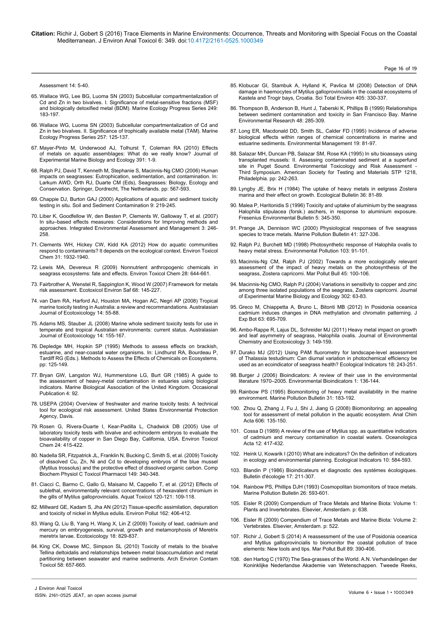[Assessment 14: 5-40.](http://www.tandfonline.com/doi/abs/10.1080/10807030701790272?journalCode=bher20#.Vp4Lkvl97IU)

- 65. [Wallace WG, Lee BG, Luoma SN \(2003\) Subcellular compartmentalization of](http://wwwrcamnl.wr.usgs.gov/tracel/references/pdf/MarEcolProgSer_v249p183.pdf) [Cd and Zn in two bivalves. I. Significance of metal-sensitive fractions \(MSF\)](http://wwwrcamnl.wr.usgs.gov/tracel/references/pdf/MarEcolProgSer_v249p183.pdf) [and biologically detoxified metal \(BDM\). Marine Ecology Progress Series 249:](http://wwwrcamnl.wr.usgs.gov/tracel/references/pdf/MarEcolProgSer_v249p183.pdf) [183-197.](http://wwwrcamnl.wr.usgs.gov/tracel/references/pdf/MarEcolProgSer_v249p183.pdf)
- 66. [Wallace WG, Luoma SN \(2003\) Subcellular compartmentalization of Cd and](http://wwwrcamnl.wr.usgs.gov/tracel/references/pdf/MarEcolProgSer_v257p125.pdf) [Zn in two bivalves. II. Significance of trophically available metal \(TAM\). Marine](http://wwwrcamnl.wr.usgs.gov/tracel/references/pdf/MarEcolProgSer_v257p125.pdf) [Ecology Progress Series 257: 125-137.](http://wwwrcamnl.wr.usgs.gov/tracel/references/pdf/MarEcolProgSer_v257p125.pdf)
- 67. [Mayer-Pinto M, Underwood AJ, Tolhurst T, Coleman RA \(2010\) Effects](http://www.sciencedirect.com/science/article/pii/S0022098110002182) [of metals on aquatic assemblages: What do we really know? Journal of](http://www.sciencedirect.com/science/article/pii/S0022098110002182) [Experimental Marine Biology and Ecology 391: 1-9.](http://www.sciencedirect.com/science/article/pii/S0022098110002182)
- 68. [Ralph PJ, David T, Kenneth M, Stephanie S, Macinnis-Ng CMO \(2006\) Human](http://link.springer.com/chapter/10.1007%2F978-1-4020-2983-7_24) [impacts on seagrasses: Eutrophication, sedimentation, and contamination. In:](http://link.springer.com/chapter/10.1007%2F978-1-4020-2983-7_24) [Larkum AWD, Orth RJ, Duarte CM \(Eds\), Seagrasses: Biology, Ecology and](http://link.springer.com/chapter/10.1007%2F978-1-4020-2983-7_24) [Conservation. Springer, Dordrecht, The Netherlands. pp: 567-593.](http://link.springer.com/chapter/10.1007%2F978-1-4020-2983-7_24)
- 69. Chappie DJ, Burton GAJ (2000) Applications of aquatic and sediment toxicity testing in situ. Soil and Sediment Contamination 9: 219-245.
- 70. [Liber K, Goodfellow W, den Besten P, Clements W, Galloway T, et al. \(2007\)](http://onlinelibrary.wiley.com/doi/10.1897/2006-029FIN.1/abstract) [In situ–based effects measures: Considerations for Improving methods and](http://onlinelibrary.wiley.com/doi/10.1897/2006-029FIN.1/abstract) [approaches. Integrated Environmental Assessment and Management 3: 246-](http://onlinelibrary.wiley.com/doi/10.1897/2006-029FIN.1/abstract) [258.](http://onlinelibrary.wiley.com/doi/10.1897/2006-029FIN.1/abstract)
- 71. [Clements WH, Hickey CW, Kidd KA \(2012\) How do aquatic communities](http://www.ncbi.nlm.nih.gov/pubmed/22903782) [respond to contaminants? It depends on the ecological context. Environ Toxicol](http://www.ncbi.nlm.nih.gov/pubmed/22903782) [Chem 31: 1932-1940.](http://www.ncbi.nlm.nih.gov/pubmed/22903782)
- 72. [Lewis MA, Devereux R \(2009\) Nonnutrient anthropogenic chemicals in](http://www.ncbi.nlm.nih.gov/pubmed/19006414) [seagrass ecosystems: fate and effects. Environ Toxicol Chem 28: 644-661.](http://www.ncbi.nlm.nih.gov/pubmed/19006414)
- 73. [Fairbrother A, Wenstel R, Sappington K, Wood W \(2007\) Framework for metals](http://www.ncbi.nlm.nih.gov/pubmed/17889701) [risk assessment. Ecotoxicol Environ Saf 68: 145-227.](http://www.ncbi.nlm.nih.gov/pubmed/17889701)
- 74. [van Dam RA, Harford AJ, Houston MA, Hogan AC, Negri AP \(2008\) Tropical](http://resoccultae.com/ecotox/aje/archives/vol14p55.pdf) [marine toxicity testing in Australia: a review and recommandations. Australasian](http://resoccultae.com/ecotox/aje/archives/vol14p55.pdf) [Journal of Ecotoxicology 14: 55-88.](http://resoccultae.com/ecotox/aje/archives/vol14p55.pdf)
- 75. [Adams MS, Stauber JL \(2008\) Marine whole sediment toxicity tests for use in](http://www.ecotox.org.au/aje/archives/vol14p155.pdf) [temperate and tropical Australian environments: current status. Australasian](http://www.ecotox.org.au/aje/archives/vol14p155.pdf) [Journal of Ecotoxicology 14: 155-167.](http://www.ecotox.org.au/aje/archives/vol14p155.pdf)
- 76. [Depledge MH, Hopkin SP \(1995\) Methods to assess effects on brackish,](http://www.scopenvironment.org/downloadpubs/scope53/chapter07.html) [estuarine, and near-coastal water organisms. In: Lindhurst RA, Bourdeau P,](http://www.scopenvironment.org/downloadpubs/scope53/chapter07.html) [Tardiff RG \(Eds.\). Methods to Assess the Effects of Chemicals on Ecosystems.](http://www.scopenvironment.org/downloadpubs/scope53/chapter07.html) [pp: 125-149.](http://www.scopenvironment.org/downloadpubs/scope53/chapter07.html)
- 77. Bryan GW, Langston WJ, Hummerstone LG, Burt GR (1985) A guide to the assessment of heavy-metal contamination in estuaries using biological indicators. Marine Biological Association of the United Kingdom. Occasional Publication 4: 92.
- 78. [USEPA \(2004\) Overview of freshwater and marine toxicity tests: A technical](http://oehha.ca.gov/ecotox/pdf/marinetox3.pdf) [tool for ecological risk assessment. United States Environmental Protection](http://oehha.ca.gov/ecotox/pdf/marinetox3.pdf) [Agency, Davis.](http://oehha.ca.gov/ecotox/pdf/marinetox3.pdf)
- 79. [Rosen G, Rivera-Duarte I, Kear-Padilla L, Chadwick DB \(2005\) Use of](http://www.ncbi.nlm.nih.gov/pubmed/15720003) [laboratory toxicity tests with bivalve and echinoderm embryos to evaluate the](http://www.ncbi.nlm.nih.gov/pubmed/15720003) [bioavailability of copper in San Diego Bay, California, USA. Environ Toxicol](http://www.ncbi.nlm.nih.gov/pubmed/15720003) [Chem 24: 415-422.](http://www.ncbi.nlm.nih.gov/pubmed/15720003)
- 80. [Nadella SR, Fitzpatrick JL, Franklin N, Bucking C, Smith S, et al. \(2009\) Toxicity](http://www.ncbi.nlm.nih.gov/pubmed/18832046) [of dissolved Cu, Zn, Ni and Cd to developing embryos of the blue mussel](http://www.ncbi.nlm.nih.gov/pubmed/18832046) [\(Mytilus trossolus\) and the protective effect of dissolved organic carbon. Comp](http://www.ncbi.nlm.nih.gov/pubmed/18832046) [Biochem Physiol C Toxicol Pharmacol 149: 340-348.](http://www.ncbi.nlm.nih.gov/pubmed/18832046)
- 81. [Ciacci C, Barmo C, Gallo G, Maisano M, Cappello T, et al. \(2012\) Effects of](http://www.ncbi.nlm.nih.gov/pubmed/22673405) [sublethal, environmentally relevant concentrations of hexavalent chromium in](http://www.ncbi.nlm.nih.gov/pubmed/22673405) [the gills of Mytilus galloprovincialis. Aquat Toxicol 120-121: 109-118.](http://www.ncbi.nlm.nih.gov/pubmed/22673405)
- 82. [Millward GE, Kadam S, Jha AN \(2012\) Tissue-specific assimilation, depuration](http://www.ncbi.nlm.nih.gov/pubmed/22243892) [and toxicity of nickel in Mytilus edulis. Environ Pollut 162: 406-412.](http://www.ncbi.nlm.nih.gov/pubmed/22243892)
- 83. [Wang Q, Liu B, Yang H, Wang X, Lin Z \(2009\) Toxicity of lead, cadmium and](http://www.ncbi.nlm.nih.gov/pubmed/19504184) [mercury on embryogenesis, survival, growth and metamorphosis of Meretrix](http://www.ncbi.nlm.nih.gov/pubmed/19504184) [meretrix larvae. Ecotoxicology 18: 829-837.](http://www.ncbi.nlm.nih.gov/pubmed/19504184)
- 84. [King CK, Dowse MC, Simpson SL \(2010\) Toxicity of metals to the bivalve](http://www.ncbi.nlm.nih.gov/pubmed/19888624) [Tellina deltoidalis and relationships between metal bioaccumulation and metal](http://www.ncbi.nlm.nih.gov/pubmed/19888624) [partitioning between seawater and marine sediments. Arch Environ Contam](http://www.ncbi.nlm.nih.gov/pubmed/19888624) [Toxicol 58: 657-665.](http://www.ncbi.nlm.nih.gov/pubmed/19888624)
- 85. [Klobucar GI, Stambuk A, Hylland K, Pavlica M \(2008\) Detection of DNA](http://www.ncbi.nlm.nih.gov/pubmed/18632135)  [damage in haemocytes of Mytilus galloprovincialis in the coastal ecosystems of](http://www.ncbi.nlm.nih.gov/pubmed/18632135)  [Kastela and Trogir bays, Croatia. Sci Total Environ 405: 330-337.](http://www.ncbi.nlm.nih.gov/pubmed/18632135)
- 86. [Thompson B, Anderson B, Hunt J, Taberski K, Phillips B \(1999\) Relationships](http://www.sciencedirect.com/science/article/pii/S0141113699000604)  [between sediment contamination and toxicity in San Francisco Bay. Marine](http://www.sciencedirect.com/science/article/pii/S0141113699000604)  [Environmental Research 48: 285-309.](http://www.sciencedirect.com/science/article/pii/S0141113699000604)
- 87. [Long ER, Macdonald DD, Smith SL, Calder FD \(1995\) Incidence of adverse](http://link.springer.com/article/10.1007%2FBF02472006)  [biological effects within ranges of chemical concentrations in marine and](http://link.springer.com/article/10.1007%2FBF02472006)  [estuarine sediments. Environmental Management 19: 81-97.](http://link.springer.com/article/10.1007%2FBF02472006)
- 88. [Salazar MH, Duncan PB, Salazar SM, Rose KA \(1995\) In situ bioassays using](http://yosemite.epa.gov/R10/OEA.NSF/34090d07b77d50bd88256b79006529e8/b5f592b97cf36e8d882575940079ab5c/$FILE/MusselsAstmsuper.pdf)  [transplanted mussels: II. Assessing contaminated sediment at a superfund](http://yosemite.epa.gov/R10/OEA.NSF/34090d07b77d50bd88256b79006529e8/b5f592b97cf36e8d882575940079ab5c/$FILE/MusselsAstmsuper.pdf)  [site in Puget Sound. Environmental Toxicology and Risk Assessment -](http://yosemite.epa.gov/R10/OEA.NSF/34090d07b77d50bd88256b79006529e8/b5f592b97cf36e8d882575940079ab5c/$FILE/MusselsAstmsuper.pdf)  [Third Symposium. American Society for Testing and Materials STP 1218,](http://yosemite.epa.gov/R10/OEA.NSF/34090d07b77d50bd88256b79006529e8/b5f592b97cf36e8d882575940079ab5c/$FILE/MusselsAstmsuper.pdf)  [Philadelphia. pp: 242-263.](http://yosemite.epa.gov/R10/OEA.NSF/34090d07b77d50bd88256b79006529e8/b5f592b97cf36e8d882575940079ab5c/$FILE/MusselsAstmsuper.pdf)
- 89. [Lyngby JE, Brix H \(1984\) The uptake of heavy metals in eelgrass Zostera](http://www.jstor.org/stable/20112908)  [marina and their effect on growth. Ecological Bulletin 36: 81-89.](http://www.jstor.org/stable/20112908)
- 90. [Malea P, Haritonidis S \(1996\) Toxicity and uptake of aluminium by the seagrass](http://www.bio.auth.gr/v1/en/content/toxicity-and-uptake-aluminium-seagrass-halophila-stipulacea-forsk-aschers-and-response)  [Halophila stipulacea \(forsk.\) aschers, in response to aluminium exposure.](http://www.bio.auth.gr/v1/en/content/toxicity-and-uptake-aluminium-seagrass-halophila-stipulacea-forsk-aschers-and-response)  [Fresenius Environmental Bulletin 5: 345-350.](http://www.bio.auth.gr/v1/en/content/toxicity-and-uptake-aluminium-seagrass-halophila-stipulacea-forsk-aschers-and-response)
- 91. [Prange JA, Dennison WC \(2000\) Physiological responses of five seagrass](http://www.sciencedirect.com/science/article/pii/S0025326X00001260)  [species to trace metals. Marine Pollution Bulletin 41: 327-336.](http://www.sciencedirect.com/science/article/pii/S0025326X00001260)
- 92. [Ralph PJ, Burchett MD \(1998\) Photosynthetic response of Halophila ovalis to](http://www.sciencedirect.com/science/article/pii/S0269749198001213)  [heavy metal stress. Environmental Pollution 103: 91-101.](http://www.sciencedirect.com/science/article/pii/S0269749198001213)
- 93. [Macinnis-Ng CM, Ralph PJ \(2002\) Towards a more ecologically relevant](http://www.ncbi.nlm.nih.gov/pubmed/12398373)  [assessment of the impact of heavy metals on the photosynthesis of the](http://www.ncbi.nlm.nih.gov/pubmed/12398373)  [seagrass, Zostera capricorni. Mar Pollut Bull 45: 100-106.](http://www.ncbi.nlm.nih.gov/pubmed/12398373)
- 94. [Macinnis-Ng CMO, Ralph PJ \(2004\) Variations in sensitivity to copper and zinc](http://www.sciencedirect.com/science/article/pii/S0022098103005033)  [among three isolated populations of the seagrass, Zostera capricorni. Journal](http://www.sciencedirect.com/science/article/pii/S0022098103005033)  [of Experimental Marine Biology and Ecology 302: 63-83.](http://www.sciencedirect.com/science/article/pii/S0022098103005033)
- 95. [Greco M, Chiappetta A, Bruno L, Bitonti MB \(2012\) In Posidonia oceanica](http://www.ncbi.nlm.nih.gov/pubmed/22058406)  [cadmium induces changes in DNA methylation and chromatin patterning. J](http://www.ncbi.nlm.nih.gov/pubmed/22058406)  [Exp Bot 63: 695-709.](http://www.ncbi.nlm.nih.gov/pubmed/22058406)
- 96. [Ambo-Rappe R, Lajus DL, Schreider MJ \(2011\) Heavy metal impact on growth](http://www.academicjournals.org/article/article1379488738_Ambo-Rappe et al.pdf)  [and leaf asymmetry of seagrass, Halophila ovalis. Journal of Environmental](http://www.academicjournals.org/article/article1379488738_Ambo-Rappe et al.pdf)  [Chemistry and Ecotoxicology 3: 149-159.](http://www.academicjournals.org/article/article1379488738_Ambo-Rappe et al.pdf)
- 97. [Durako MJ \(2012\) Using PAM fluorometry for landscape-level assessment](http://www.sciencedirect.com/science/article/pii/S1470160X11003906)  [of Thalassia testudinum: Can diurnal variation in photochemical efficiency be](http://www.sciencedirect.com/science/article/pii/S1470160X11003906)  [used as an ecoindicator of seagrass health? Ecological Indicators 18: 243-251.](http://www.sciencedirect.com/science/article/pii/S1470160X11003906)
- 98. [Burger J \(2006\) Bioindicators: A review of their use in the environmental](http://www.tandfonline.com/doi/abs/10.1080/15555270600701540)  [literature 1970–2005. Environmental Bioindicators 1: 136-144.](http://www.tandfonline.com/doi/abs/10.1080/15555270600701540)
- 99. [Rainbow PS \(1995\) Biomonitoring of heavy metal availability in the marine](http://www.sciencedirect.com/science/article/pii/0025326X95001165)  [environment. Marine Pollution Bulletin 31: 183-192.](http://www.sciencedirect.com/science/article/pii/0025326X95001165)
- 100. [Zhou Q, Zhang J, Fu J, Shi J, Jiang G \(2008\) Biomonitoring: an appealing](http://www.ncbi.nlm.nih.gov/pubmed/18082645)  [tool for assessment of metal pollution in the aquatic ecosystem. Anal Chim](http://www.ncbi.nlm.nih.gov/pubmed/18082645)  [Acta 606: 135-150.](http://www.ncbi.nlm.nih.gov/pubmed/18082645)
- 101. [Cossa D \(1989\) A review of the use of Mytilus spp. as quantitative indicators](http://archimer.ifremer.fr/doc/00106/21736/19309.pdf)  [of cadmium and mercury contamination in coastal waters. Oceanologica](http://archimer.ifremer.fr/doc/00106/21736/19309.pdf)  [Acta 12: 417-432.](http://archimer.ifremer.fr/doc/00106/21736/19309.pdf)
- 102. [Heink U, Kowarik I \(2010\) What are indicators? On the definition of indicators](http://www.sciencedirect.com/science/article/pii/S1470160X09001575)  [in ecology and environmental planning. Ecological Indicators 10: 584-593.](http://www.sciencedirect.com/science/article/pii/S1470160X09001575)
- 103. [Blandin P \(1986\) Bioindicateurs et diagnostic des systémes écologiques.](http://www.patrickblandin.com/fr/ecologie-et-evolution/60-bioindicateurs-et-diagnostic-des-systemes-ecologiques-publication-nd86-1986)  [Bulletin d'écologie 17: 211-307.](http://www.patrickblandin.com/fr/ecologie-et-evolution/60-bioindicateurs-et-diagnostic-des-systemes-ecologiques-publication-nd86-1986)
- 104. [Rainbow PS, Phillips DJH \(1993\) Cosmopolitan biomonitors of trace metals.](http://www.sciencedirect.com/science/article/pii/0025326X93904978)  [Marine Pollution Bulletin 26: 593-601.](http://www.sciencedirect.com/science/article/pii/0025326X93904978)
- 105. Eisler R (2009) Compendium of Trace Metals and Marine Biota: Volume 1: Plants and Invertebrates. Elsevier, Amsterdam. p: 638.
- 106. [Eisler R \(2009\) Compendium of Trace Metals and Marine Biota: Volume 2:](http://store.elsevier.com/Compendium-of-Trace-Metals-and-Marine-Biota/Ronald-Eisler/isbn-9780444534378/)  [Vertebrates. Elsevier, Amsterdam. p: 522.](http://store.elsevier.com/Compendium-of-Trace-Metals-and-Marine-Biota/Ronald-Eisler/isbn-9780444534378/)
- 107. [Richir J, Gobert S \(2014\) A reassessment of the use of Posidonia oceanica](http://www.ncbi.nlm.nih.gov/pubmed/25440897)  [and Mytilus galloprovincialis to biomonitor the coastal pollution of trace](http://www.ncbi.nlm.nih.gov/pubmed/25440897)  [elements: New tools and tips. Mar Pollut Bull 89: 390-406.](http://www.ncbi.nlm.nih.gov/pubmed/25440897)
- 108. [den Hartog C \(1970\) The Sea-grasses of the World. A.N. Verhandelingen der](http://pdf.usaid.gov/pdf_docs/PNAAM467.pdf)  [Koninklijke Nederlandse Akademie van Wetenschappen. Tweede Reeks,](http://pdf.usaid.gov/pdf_docs/PNAAM467.pdf)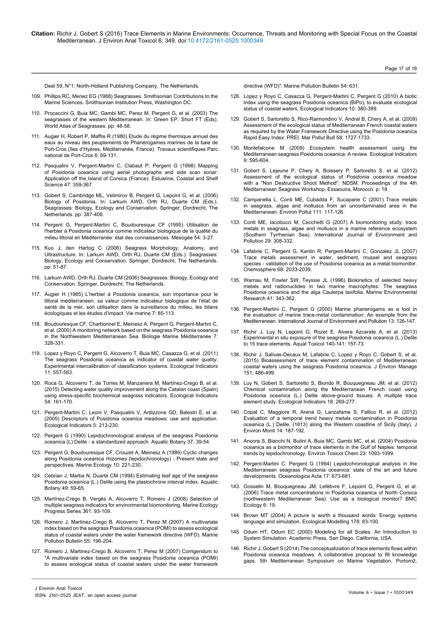[Deel 59, N°1. North-Holland Publishing Company, The Netherlands.](http://pdf.usaid.gov/pdf_docs/PNAAM467.pdf)

- 109. Phillips RC, Menez EG (1988) Seagrasses. Smithsonian Contributions to the Marine Sciences. Smithsonian Institution Press, Washington DC.
- 110. Procaccini G, Buia MC, Gambi MC, Perez M, Pergent G, et al. (2003) The seagrasses of the western Mediterranean. In: Green EP, Short FT (Eds). World Atlas of Seagrasses. pp: 48-58.
- 111. [Augier H, Robert P, Maffre R \(1980\) Etude du régime thermique annuel des](http://www.portcrosparcnational.fr/var/ezwebin_site/storage/original/application/d14668a8554be10666a966c59fa6409a.pdf) [eaux au niveau des peuplements de Phanérogames marines de la baie de](http://www.portcrosparcnational.fr/var/ezwebin_site/storage/original/application/d14668a8554be10666a966c59fa6409a.pdf) [Port-Cros \(îles d'Hyères, Méditerranée, France\). Travaux scientifiques Parc](http://www.portcrosparcnational.fr/var/ezwebin_site/storage/original/application/d14668a8554be10666a966c59fa6409a.pdf) [national de Port-Cros 6: 69-131.](http://www.portcrosparcnational.fr/var/ezwebin_site/storage/original/application/d14668a8554be10666a966c59fa6409a.pdf)
- 112. [Pasqualini V, Pergent-Martini C, Clabaut P, Pergent G \(1998\) Mapping](http://www.sciencedirect.com/science/article/pii/S0272771498903614) [of Posidonia oceanica using aerial photographs and side scan sonar:](http://www.sciencedirect.com/science/article/pii/S0272771498903614) [Application off the Island of Corsica \(France\). Estuarine, Coastal and Shelf](http://www.sciencedirect.com/science/article/pii/S0272771498903614) [Science 47: 359-367.](http://www.sciencedirect.com/science/article/pii/S0272771498903614)
- 113. [Gobert S, Cambridge ML, Velimirov B, Pergent G, Lepoint G, et al. \(2006\)](http://link.springer.com/chapter/10.1007%2F978-1-4020-2983-7_17) [Biology of Posidonia. In: Larkum AWD, Orth RJ, Duarte CM \(Eds.\).](http://link.springer.com/chapter/10.1007%2F978-1-4020-2983-7_17) [Seagrasses: Biology, Ecology and Conservation. Springer, Dordrecht, The](http://link.springer.com/chapter/10.1007%2F978-1-4020-2983-7_17) [Netherlands. pp: 387-408.](http://link.springer.com/chapter/10.1007%2F978-1-4020-2983-7_17)
- 114. Pergent G, Pergent-Martini C, Boudouresque CF (1995) Utilisation de l'herbier à Posidonia oceanica comme indicateur biologique de la qualité du milieu littoral en Méditerranée: état des connaissances. Mésogée 54: 3-27.
- 115. [Kuo J, den Hartog C \(2006\) Seagrass Morphology, Anatomy, and](http://www.vliz.be/en/imis?module=ref&refid=101158&printversion=1&dropIMIStitle=1) [Ultrastructure. In: Larkum AWD, Orth RJ, Duarte CM \(Eds.\). Seagrasses:](http://www.vliz.be/en/imis?module=ref&refid=101158&printversion=1&dropIMIStitle=1) [Biology, Ecology and Conservation. Springer, Dordrecht, The Netherlands.](http://www.vliz.be/en/imis?module=ref&refid=101158&printversion=1&dropIMIStitle=1) [pp: 51-87.](http://www.vliz.be/en/imis?module=ref&refid=101158&printversion=1&dropIMIStitle=1)
- 116. [Larkum AWD, Orth RJ, Duarte CM \(2006\) Seagrasses: Biology, Ecology and](http://www.springer.com/us/book/9781402029424) [Conservation. Springer, Dordrecht, The Netherlands.](http://www.springer.com/us/book/9781402029424)
- 117. Augier H (1985) L'herbier à Posidonia oceanica, son importance pour le littoral méditerranéen, sa valeur comme indicateur biologique de l'état de santé de la mer, son utilisation dans la surveillance du milieu, les bilans écologiques et les études d'impact. Vie marine 7: 85-113.
- 118. [Boudouresque CF, Charbonnel E, Meinesz A, Pergent G, Pergent-Martini C,](http://www.com.univ-mrs.fr/~boudouresque/Publications_pdf/Boudouresque_et_al_2000_Biol_Mar_Medit.pdf) [et al. \(2000\) A monitoring network based on the seagrass Posidonia oceanica](http://www.com.univ-mrs.fr/~boudouresque/Publications_pdf/Boudouresque_et_al_2000_Biol_Mar_Medit.pdf) [in the Northwestern Mediterranean Sea. Biologie Marine Méditerranée 7:](http://www.com.univ-mrs.fr/~boudouresque/Publications_pdf/Boudouresque_et_al_2000_Biol_Mar_Medit.pdf) [328-331.](http://www.com.univ-mrs.fr/~boudouresque/Publications_pdf/Boudouresque_et_al_2000_Biol_Mar_Medit.pdf)
- 119. Lopez y Royo [C, Pergent G, Alcoverro T, Buia MC, Casazza G, et al. \(2011\)](http://www.sciencedirect.com/science/article/pii/S1470160X10001354) [The seagrass Posidonia oceanica as indicator of coastal water quality:](http://www.sciencedirect.com/science/article/pii/S1470160X10001354) [Experimental intercalibration of classification systems. Ecological Indicators](http://www.sciencedirect.com/science/article/pii/S1470160X10001354) [11: 557-563.](http://www.sciencedirect.com/science/article/pii/S1470160X10001354)
- 120. [Roca G, Alcoverro T, de Torres M, Manzanera M, Martínez-Crego B, et al.](http://www.sciencedirect.com/science/article/pii/S1470160X15001089) [\(2015\) Detecting water quality improvement along the Catalan coast \(Spain\)](http://www.sciencedirect.com/science/article/pii/S1470160X15001089) [using stress-specific biochemical seagrass indicators. Ecological Indicators](http://www.sciencedirect.com/science/article/pii/S1470160X15001089) [54: 161-170.](http://www.sciencedirect.com/science/article/pii/S1470160X15001089)
- 121. [Pergent-Martini C, Leoni V, Pasqualini V, Ardizzone GD, Balestri E, et al.](https://orbi.ulg.ac.be/bitstream/2268/3717/2/ecologicalindicators.pdf) [\(2005\) Descriptors of Posidonia oceanica meadows: use and application.](https://orbi.ulg.ac.be/bitstream/2268/3717/2/ecologicalindicators.pdf) [Ecological Indicators 5: 213-230.](https://orbi.ulg.ac.be/bitstream/2268/3717/2/ecologicalindicators.pdf)
- 122. [Pergent G \(1990\) Lepidochronological analysis of the seagrass Posidonia](http://www.sciencedirect.com/science/article/pii/030437709090063Q) [oceanica \(L\) Delile - a standardized approach. Aquatic Botany 37: 39-54.](http://www.sciencedirect.com/science/article/pii/030437709090063Q)
- 123. [Pergent G, Boudouresque CF, Crouzet A, Meinesz A \(1989\) Cyclic changes](http://onlinelibrary.wiley.com/doi/10.1111/j.1439-0485.1989.tb00474.x/abstract) [along Posidonia oceanica rhizomes \(lepidochronology\) - Present state and](http://onlinelibrary.wiley.com/doi/10.1111/j.1439-0485.1989.tb00474.x/abstract) [perspectives. Marine Ecology 10: 221-230.](http://onlinelibrary.wiley.com/doi/10.1111/j.1439-0485.1989.tb00474.x/abstract)
- 124. [Cebrian J, Marba N, Duarte CM \(1994\) Estimating leaf age of the seagrass](http://www.sciencedirect.com/science/article/pii/030437709490006X) [Posidonia oceanica \(L.\) Delile using the plastochrone interval index. Aquatic](http://www.sciencedirect.com/science/article/pii/030437709490006X) [Botany 49: 59-65.](http://www.sciencedirect.com/science/article/pii/030437709490006X)
- 125. [Martínez-Crego B, Vergés A, Alcoverro T, Romero J \(2008\) Selection of](http://digital.csic.es/bitstream/10261/44077/1/Alcoverro20082.pdf) [multiple seagrass indicators for environmental biomonitoring. Marine Ecology](http://digital.csic.es/bitstream/10261/44077/1/Alcoverro20082.pdf) [Progress Series 361: 93-109.](http://digital.csic.es/bitstream/10261/44077/1/Alcoverro20082.pdf)
- 126. [Romero J, Martinez-Crego B, Alcoverro T, Perez M \(2007\) A multivariate](http://www.sciencedirect.com/science/article/pii/S0025326X06003225) [index based on the seagrass Posidonia oceanica \(POMI\) to assess ecological](http://www.sciencedirect.com/science/article/pii/S0025326X06003225) [status of coastal waters under the water framework directive \(WFD\). Marine](http://www.sciencedirect.com/science/article/pii/S0025326X06003225) [Pollution Bulletin 55: 196-204.](http://www.sciencedirect.com/science/article/pii/S0025326X06003225)
- 127. [Romero J, Martinez-Crego B, Alcoverro T, Perez M \(2007\) Corrigendum to](http://www.sciencedirect.com/science/article/pii/S0025326X07000598) ["A multivariate index based on the seagrass Posidonia oceanica \(POMI\)](http://www.sciencedirect.com/science/article/pii/S0025326X07000598) [to assess ecological status of coastal waters under the water framework](http://www.sciencedirect.com/science/article/pii/S0025326X07000598)

[directive \(WFD\)". Marine Pollution Bulletin 54: 631.](http://www.sciencedirect.com/science/article/pii/S0025326X07000598)

- 128. Lopez y Royo [C, Casazza G, Pergent-Martini C, Pergent G \(2010\) A biotic](http://www.sciencedirect.com/science/article/pii/S1470160X0900123X)  [index using the seagrass Posidonia oceanica \(BiPo\), to evaluate ecological](http://www.sciencedirect.com/science/article/pii/S1470160X0900123X)  [status of coastal waters. Ecological Indicators 10: 380-389.](http://www.sciencedirect.com/science/article/pii/S1470160X0900123X)
- 129. [Gobert S, Sartoretto S, Rico-Raimondino V, Andral B, Chery A, et al. \(2009\)](http://www.ncbi.nlm.nih.gov/pubmed/19700176)  [Assessment of the ecological status of Mediterranean French coastal waters](http://www.ncbi.nlm.nih.gov/pubmed/19700176)  [as required by the Water Framework Directive using the Posidonia oceanica](http://www.ncbi.nlm.nih.gov/pubmed/19700176)  [Rapid Easy Index: PREI. Mar Pollut Bull 58: 1727-1733.](http://www.ncbi.nlm.nih.gov/pubmed/19700176)
- 130. [Montefalcone M \(2009\) Ecosystem health assessment using the](http://www.sciencedirect.com/science/article/pii/S1470160X0800126X)  [Mediterranean seagrass Posidonia oceanica: A review. Ecological Indicators](http://www.sciencedirect.com/science/article/pii/S1470160X0800126X)  [9: 595-604.](http://www.sciencedirect.com/science/article/pii/S1470160X0800126X)
- 131. Gobert S, Lejeune P, Chery A, Boissery P, Sartoretto S, et al. (2012) Assessment of the ecological status of Posidonia oceanica meadow with a "Non Destructive Shoot Method": NDSM. Proceedings of the 4th Mediterranean Seagrass Workshop, Essaouira, Morocco. p: 18.
- 132. [Campanella L, Conti ME, Cubadda F, Sucapane C \(2001\) Trace metals](http://www.ncbi.nlm.nih.gov/pubmed/11202705)  [in seagrass, algae and molluscs from an uncontaminated area in the](http://www.ncbi.nlm.nih.gov/pubmed/11202705)  [Mediterranean. Environ Pollut 111: 117-126.](http://www.ncbi.nlm.nih.gov/pubmed/11202705)
- 133. [Conti ME, Iacobucci M, Cecchetti G \(2007\) A biomonitoring study: trace](http://www.inderscienceonline.com/doi/abs/10.1504/IJEP.2007.012808?journalCode=ijep&)  [metals in seagrass, algae and molluscs in a marine reference ecosystem](http://www.inderscienceonline.com/doi/abs/10.1504/IJEP.2007.012808?journalCode=ijep&)  [\(Southern Tyrrhenian Sea\). International Journal of Environment and](http://www.inderscienceonline.com/doi/abs/10.1504/IJEP.2007.012808?journalCode=ijep&)  [Pollution 29: 308-332.](http://www.inderscienceonline.com/doi/abs/10.1504/IJEP.2007.012808?journalCode=ijep&)
- 134. [Lafabrie C, Pergent G, Kantin R, Pergent-Martini C, Gonzalez JL \(2007\)](http://www.sciencedirect.com/science/article/pii/S0045653507002767)  [Trace metals assessment in water, sediment, mussel and seagrass](http://www.sciencedirect.com/science/article/pii/S0045653507002767)  [species - validation of the use of Posidonia oceanica as a metal biomonitor.](http://www.sciencedirect.com/science/article/pii/S0045653507002767)  [Chemosphere 68: 2033-2039.](http://www.sciencedirect.com/science/article/pii/S0045653507002767)
- 135. [Warnau M, Fowler SW, Teyssie JL \(1996\) Biokinetics of selected heavy](http://www.sciencedirect.com/science/article/pii/0141113695000259)  [metals and radionuclides in two marine macrophytes: The seagrass](http://www.sciencedirect.com/science/article/pii/0141113695000259)  [Posidonia oceanica and the alga Caulerpa taxifolia. Marine Environmental](http://www.sciencedirect.com/science/article/pii/0141113695000259)  [Research 41: 343-362.](http://www.sciencedirect.com/science/article/pii/0141113695000259)
- 136. [Pergent-Martini C, Pergent G \(2000\) Marine phanerogams as a tool in](http://www.inderscience.com/info/inarticle.php?artid=2313)  [the evaluation of marine trace-metal contamination: An example from the](http://www.inderscience.com/info/inarticle.php?artid=2313)  [Mediterranean. International Journal of Environment and Pollution 13: 126-147.](http://www.inderscience.com/info/inarticle.php?artid=2313)
- 137. [Richir J, Luy N, Lepoint G, Rozet E, Alvera Azcarate A, et al. \(2013\)](http://www.ncbi.nlm.nih.gov/pubmed/23811022)  [Experimental in situ exposure of the seagrass Posidonia oceanica \(L.\) Delile](http://www.ncbi.nlm.nih.gov/pubmed/23811022)  [to 15 trace elements. Aquat Toxicol 140-141: 157-73.](http://www.ncbi.nlm.nih.gov/pubmed/23811022)
- 138. [Richir J, Salivas-Decaux M, Lafabrie C, Lopez y Royo C, Gobert S, et al.](http://www.ncbi.nlm.nih.gov/pubmed/25617788)  [\(2015\) Bioassessment of trace element contamination of Mediterranean](http://www.ncbi.nlm.nih.gov/pubmed/25617788)  [coastal waters using the seagrass Posidonia oceanica. J Environ Manage](http://www.ncbi.nlm.nih.gov/pubmed/25617788)  [151: 486-499.](http://www.ncbi.nlm.nih.gov/pubmed/25617788)
- 139. [Luy N, Gobert S, Sartoretto S, Biondo R, Bouquegneau JM, et al. \(2012\)](http://www.sciencedirect.com/science/article/pii/S1470160X11003700)  [Chemical contamination along the Mediterranean French coast using](http://www.sciencedirect.com/science/article/pii/S1470160X11003700)  [Posidonia oceanica \(L.\) Delile above-ground tissues: A multiple trace](http://www.sciencedirect.com/science/article/pii/S1470160X11003700)  [element study. Ecological Indicators 18: 269-277.](http://www.sciencedirect.com/science/article/pii/S1470160X11003700)
- 140. [Copat C, Maggiore R, Arena G, Lanzafame S, Fallico R, et al. \(2012\)](http://www.ncbi.nlm.nih.gov/pubmed/22101939)  [Evaluation of a temporal trend heavy metals contamination in Posidonia](http://www.ncbi.nlm.nih.gov/pubmed/22101939)  [oceanica \(L.\) Delile, \(1813\) along the Western coastline of Sicily \(Italy\). J](http://www.ncbi.nlm.nih.gov/pubmed/22101939)  [Environ Monit 14: 187-192.](http://www.ncbi.nlm.nih.gov/pubmed/22101939)
- 141. [Ancora S, Bianchi N, Butini A, Buia MC, Gambi MC, et al. \(2004\) Posidonia](http://www.ncbi.nlm.nih.gov/pubmed/15180358)  [oceanica as a biomonitor of trace elements in the Gulf of Naples: temporal](http://www.ncbi.nlm.nih.gov/pubmed/15180358)  [trends by lepidochronology. Environ Toxicol Chem 23: 1093-1099.](http://www.ncbi.nlm.nih.gov/pubmed/15180358)
- 142. [Pergent-Martini C, Pergent G \(1994\) Lepidochronological analysis in the](http://archimer.ifremer.fr/doc/00099/21019/18645.pdf)  [Mediterranean seagrass Posidonia oceanica: state of the art and future](http://archimer.ifremer.fr/doc/00099/21019/18645.pdf)  [developments. Oceanologica Acta 17: 673-681.](http://archimer.ifremer.fr/doc/00099/21019/18645.pdf)
- 143. [Gosselin M, Bouquegneau JM, Lefèbvre F, Lepoint G, Pergent G, et al.](http://link.springer.com/article/10.1186%2F1472-6785-6-12)  [\(2006\) Trace metal concentrations in Posidonia oceanica of North Corsica](http://link.springer.com/article/10.1186%2F1472-6785-6-12)  [\(northwestern Mediterranean Sea\): Use as a biological monitor? BMC](http://link.springer.com/article/10.1186%2F1472-6785-6-12)  [Ecology 6: 19.](http://link.springer.com/article/10.1186%2F1472-6785-6-12)
- 144. [Brown MT \(2004\) A picture is worth a thousand words: Energy systems](http://www.sciencedirect.com/science/article/pii/S0304380003005209)  [language and simulation. Ecological Modelling 178: 83-100.](http://www.sciencedirect.com/science/article/pii/S0304380003005209)
- 145. Odum HT, Odum EC (2000) Modeling for all Scales: An Introduction to System Simulation. Academic Press, San Diego, California, USA.
- 146. [Richir J, Gobert S \(2014\) The conceptualization of trace elements flows within](http://orbi.ulg.ac.be/handle/2268/173901)  [Posidonia oceanica meadows: A collaborative proposal to fill knowledge](http://orbi.ulg.ac.be/handle/2268/173901)  [gaps. 5th Mediterranean Symposium on Marine Vegetation, Portorož,](http://orbi.ulg.ac.be/handle/2268/173901)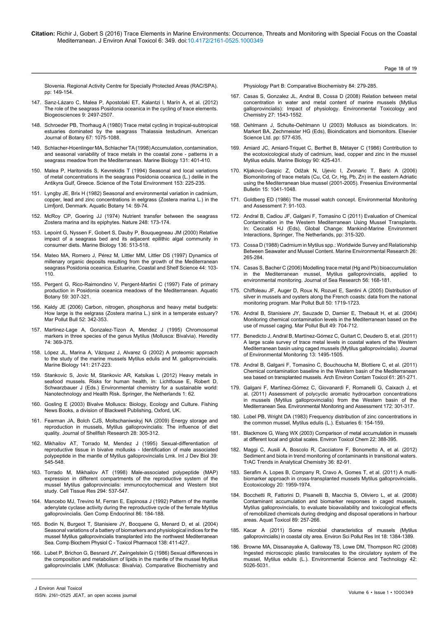[Slovenia. Regional Activity Centre for Specially Protected Areas \(RAC/SPA\).](http://orbi.ulg.ac.be/handle/2268/173901) [pp: 149-154.](http://orbi.ulg.ac.be/handle/2268/173901)

- 147. [Sanz-Lázaro C, Malea P, Apostolaki ET, Kalantzi I, Marín A, et al. \(2012\)](http://www.biogeosciences.net/9/2497/2012/bg-9-2497-2012.html) [The role of the seagrass Posidonia oceanica in the cycling of trace elements.](http://www.biogeosciences.net/9/2497/2012/bg-9-2497-2012.html) [Biogeosciences 9: 2497-2507.](http://www.biogeosciences.net/9/2497/2012/bg-9-2497-2012.html)
- 148. [Schroeder PB, Thorhaug A \(1980\) Trace metal cycling in tropical-subtropical](http://www.jstor.org/stable/2442200?seq=1#page_scan_tab_contents) [estuaries dominated by the seagrass Thalassia testudinum. American](http://www.jstor.org/stable/2442200?seq=1#page_scan_tab_contents) [Journal of Botany 67: 1075-1088.](http://www.jstor.org/stable/2442200?seq=1#page_scan_tab_contents)
- 149. [Schlacher-Hoenlinger MA, Schlacher TA \(1998\) Accumulation, contamination,](http://link.springer.com/article/10.1007%2Fs002270050333) [and seasonal variability of trace metals in the coastal zone - patterns in a](http://link.springer.com/article/10.1007%2Fs002270050333) [seagrass meadow from the Mediterranean. Marine Biology 131: 401-410.](http://link.springer.com/article/10.1007%2Fs002270050333)
- 150. [Malea P, Haritonidis S, Kevrekidis T \(1994\) Seasonal and local variations](http://www.sciencedirect.com/science/article/pii/004896979490202X) [of metal concentrations in the seagrass Posidonia oceanica \(L.\) delile in the](http://www.sciencedirect.com/science/article/pii/004896979490202X) [Antikyra Gulf, Greece. Science of the Total Environment 153: 225-235.](http://www.sciencedirect.com/science/article/pii/004896979490202X)
- 151. Lyngby JE, Brix H (1982) Seasonal and environmental variation in cadmium, copper, lead and zinc concentrations in eelgrass (Zostera marina L.) in the Limfjord, Denmark. Aquatic Botany 14: 59-74.
- 152. [McRoy CP, Goering JJ \(1974\) Nutrient transfer between the seagrass](http://www.nature.com/nature/journal/v248/n5444/abs/248173a0.html) [Zostera marina and its epiphytes. Nature 248: 173-174.](http://www.nature.com/nature/journal/v248/n5444/abs/248173a0.html)
- 153. [Lepoint G, Nyssen F, Gobert S, Dauby P, Bouquegneau JM \(2000\) Relative](http://link.springer.com/article/10.1007%2Fs002270050711) [impact of a seagrass bed and its adjacent epilithic algal community in](http://link.springer.com/article/10.1007%2Fs002270050711) [consumer diets. Marine Biology 136: 513-518.](http://link.springer.com/article/10.1007%2Fs002270050711)
- 154. [Mateo MA, Romero J, Pérez M, Littler MM, Littler DS \(1997\) Dynamics of](http://www.sciencedirect.com/science/article/pii/S027277149690116X) [millenary organic deposits resulting from the growth of the Mediterranean](http://www.sciencedirect.com/science/article/pii/S027277149690116X) [seagrass Posidonia oceanica. Estuarine, Coastal and Shelf Science 44: 103-](http://www.sciencedirect.com/science/article/pii/S027277149690116X) [110.](http://www.sciencedirect.com/science/article/pii/S027277149690116X)
- 155. [Pergent G, Rico-Raimondino V, Pergent-Martini C \(1997\) Fate of primary](http://www.sciencedirect.com/science/article/pii/S0304377097000521) [production in Posidonia oceanica meadows of the Mediterranean. Aquatic](http://www.sciencedirect.com/science/article/pii/S0304377097000521) [Botany 59: 307-321.](http://www.sciencedirect.com/science/article/pii/S0304377097000521)
- 156. [Kaldy JE \(2006\) Carbon, nitrogen, phosphorus and heavy metal budgets:](http://www.ncbi.nlm.nih.gov/pubmed/16403536) [How large is the eelgrass \(Zostera marina L.\) sink in a temperate estuary?](http://www.ncbi.nlm.nih.gov/pubmed/16403536) [Mar Pollut Bull 52: 342-353.](http://www.ncbi.nlm.nih.gov/pubmed/16403536)
- 157. [Martinez-Lage A, Gonzalez-Tizon A, Mendez J \(1995\) Chromosomal](http://www.nature.com/hdy/journal/v74/n4/abs/hdy199555a.html) [markers in three species of the genus Mytilus \(Mollusca: Bivalvia\). Heredity](http://www.nature.com/hdy/journal/v74/n4/abs/hdy199555a.html) [74: 369-375.](http://www.nature.com/hdy/journal/v74/n4/abs/hdy199555a.html)
- 158. [López JL, Marina A, Vázquez J, Alvarez G \(2002\) A proteomic approach](http://link.springer.com/article/10.1007%2Fs00227-002-0827-4) [to the study of the marine mussels Mytilus edulis and M. galloprovincialis.](http://link.springer.com/article/10.1007%2Fs00227-002-0827-4) [Marine Biology 141: 217-223.](http://link.springer.com/article/10.1007%2Fs00227-002-0827-4)
- 159. Stankovic S, Jovic M, Stankovic AR, Katsikas L (2012) Heavy metals in seafood mussels. Risks for human health, In: Lichtfouse E, Robert D, Schwarzbauer J (Eds.) Environmental chemistry for a sustainable world: Nanotechnology and Health Risk. Springer, the Netherlands 1: 62.
- 160. [Gosling E \(2003\) Bivalve Molluscs: Biology, Ecology and Culture. Fishing](http://onlinelibrary.wiley.com/doi/10.1002/9780470995532.fmatter/pdf) [News Books, a division of Blackwell Publishing, Oxford, UK.](http://onlinelibrary.wiley.com/doi/10.1002/9780470995532.fmatter/pdf)
- 161. [Fearman JA, Bolch CJS, Moltschaniwskyj NA \(2009\) Energy storage and](http://www.bioone.org/doi/abs/10.2983/035.028.0212) [reproduction in mussels, Mytilus galloprovincialis: The influence of diet](http://www.bioone.org/doi/abs/10.2983/035.028.0212) [quality. Journal of Shellfish Research 28: 305-312.](http://www.bioone.org/doi/abs/10.2983/035.028.0212)
- 162. [Mikhailov AT, Torrado M, Mendez J \(1995\) Sexual-differentiation of](http://www.ncbi.nlm.nih.gov/pubmed/7577446) [reproductive tissue in bivalve mollusks - Identification of male associated](http://www.ncbi.nlm.nih.gov/pubmed/7577446) [polypeptide in the mantle of Mytilus galloprovincialis Lmk. Int J Dev Biol 39:](http://www.ncbi.nlm.nih.gov/pubmed/7577446) [545-548.](http://www.ncbi.nlm.nih.gov/pubmed/7577446)
- 163. [Torrado M, Mikhailov AT \(1998\) Male-associated polypeptide \(MAP\)](http://www.ncbi.nlm.nih.gov/pubmed/9799470) [expression in different compartments of the reproductive system of the](http://www.ncbi.nlm.nih.gov/pubmed/9799470) [mussel Mytilus galloprovincialis: immunocytochemical and Western blot](http://www.ncbi.nlm.nih.gov/pubmed/9799470) [study. Cell Tissue Res 294: 537-547.](http://www.ncbi.nlm.nih.gov/pubmed/9799470)
- 164. [Mancebo MJ, Trevino M, Ferran E, Espinosa J \(1992\) Pattern of the mantle](http://www.ncbi.nlm.nih.gov/pubmed/1601266) [adenylate cyclase activity during the reproductive cycle of the female Mytilus](http://www.ncbi.nlm.nih.gov/pubmed/1601266) [galloprovincialis. Gen Comp Endocrinol 86: 184-188.](http://www.ncbi.nlm.nih.gov/pubmed/1601266)
- 165. [Bodin N, Burgeot T, Stanisiere JY, Bocquene G, Menard D, et al. \(2004\)](http://www.ncbi.nlm.nih.gov/pubmed/15536049) [Seasonal variations of a battery of biomarkers and physiological indices for the](http://www.ncbi.nlm.nih.gov/pubmed/15536049) [mussel Mytilus galloprovincialis transplanted into the northwest Mediterranean](http://www.ncbi.nlm.nih.gov/pubmed/15536049) [Sea. Comp Biochem Physiol C - Toxicol Pharmacol 138: 411-427.](http://www.ncbi.nlm.nih.gov/pubmed/15536049)
- 166. [Lubet P, Brichon G, Besnard JY, Zwingelstein G \(1986\) Sexual differences in](http://www.sciencedirect.com/science/article/pii/0305049186900775) [the composition and metabolism of lipids in the mantle of the mussel Mytilus](http://www.sciencedirect.com/science/article/pii/0305049186900775) [galloprovincialis LMK \(Mollusca: Bivalvia\). Comparative Biochemistry and](http://www.sciencedirect.com/science/article/pii/0305049186900775)

[Physiology Part B: Comparative Biochemistry 84: 279-285.](http://www.sciencedirect.com/science/article/pii/0305049186900775)

- 167. [Casas S, Gonzalez JL, Andral B, Cossa D \(2008\) Relation between metal](http://onlinelibrary.wiley.com/doi/10.1897/07-418.1/abstract)  [concentration in water and metal content of marine mussels \(Mytilus](http://onlinelibrary.wiley.com/doi/10.1897/07-418.1/abstract)  [galloprovincialis\): Impact of physiology. Environmental Toxicology and](http://onlinelibrary.wiley.com/doi/10.1897/07-418.1/abstract)  [Chemistry 27: 1543-1552.](http://onlinelibrary.wiley.com/doi/10.1897/07-418.1/abstract)
- 168. Oehlmann J, Schulte-Oehlmann U (2003) Molluscs as bioindicators. In: Markert BA, Zechmeister HG (Eds), Bioindicators and biomonitors. Elsevier Science Ltd. pp: 577-635.
- 169. [Amiard JC, Amiard-Triquet C, Berthet B, Métayer C \(1986\) Contribution to](http://link.springer.com/article/10.1007%2FBF00428566)  [the ecotoxicological study of cadmium, lead, copper and zinc in the mussel](http://link.springer.com/article/10.1007%2FBF00428566)  [Mytilus edulis. Marine Biology 90: 425-431.](http://link.springer.com/article/10.1007%2FBF00428566)
- 170. [Kljakovic-Gaspic Z, Odžak N, Ujevic I, Zvonaric T, Baric A \(2006\)](https://bib.irb.hr/prikazi-rad?lang=en&rad=254486)  [Biomonitoring of trace metals \(Cu, Cd, Cr, Hg, Pb, Zn\) in the eastern Adriatic](https://bib.irb.hr/prikazi-rad?lang=en&rad=254486)  [using the Mediterranean blue mussel \(2001-2005\). Fresenius Environmental](https://bib.irb.hr/prikazi-rad?lang=en&rad=254486)  [Bulletin 15: 1041-1048.](https://bib.irb.hr/prikazi-rad?lang=en&rad=254486)
- 171. [Goldberg ED \(1986\) The mussel watch concept. Environmental Monitoring](http://link.springer.com/article/10.1007%2FBF00398031)  [and Assessment 7: 91-103.](http://link.springer.com/article/10.1007%2FBF00398031)
- 172. [Andral B, Cadiou JF, Galgani F, Tomasino C \(2011\) Evaluation of Chemical](http://link.springer.com/chapter/10.1007%2F978-90-481-8630-3_56)  [Contamination in the Western Mediterranean Using Mussel Transplants.](http://link.springer.com/chapter/10.1007%2F978-90-481-8630-3_56)  [In: Ceccaldi HJ \(Eds\), Global Change: Mankind-Marine Environment](http://link.springer.com/chapter/10.1007%2F978-90-481-8630-3_56)  [Interactions, Springer, The Netherlands, pp: 315-320.](http://link.springer.com/chapter/10.1007%2F978-90-481-8630-3_56)
- 173. [Cossa D \(1988\) Cadmium in Mytilus spp.: Worldwide Survey and Relationship](http://www.sciencedirect.com/science/article/pii/0141113688903522)  [Between Seawater and Mussel Content. Marine Environmental Research 26:](http://www.sciencedirect.com/science/article/pii/0141113688903522)  [265-284.](http://www.sciencedirect.com/science/article/pii/0141113688903522)
- 174. [Casas S, Bacher C \(2006\) Modelling trace metal \(Hg and Pb\) bioaccumulation](http://archimer.ifremer.fr/doc/00000/1965/)  [in the Mediterranean mussel, Mytilus galloprovincialis, applied to](http://archimer.ifremer.fr/doc/00000/1965/)  [environmental monitoring. Journal of Sea Research 56: 168-181.](http://archimer.ifremer.fr/doc/00000/1965/)
- 175. [Chiffoleau JF, Auger D, Roux N, Rozuel E, Santini A \(2005\) Distribution of](http://www.ncbi.nlm.nih.gov/pubmed/16271372)  [silver in mussels and oysters along the French coasts: data from the national](http://www.ncbi.nlm.nih.gov/pubmed/16271372)  [monitoring program. Mar Pollut Bull 50: 1719-1723.](http://www.ncbi.nlm.nih.gov/pubmed/16271372)
- 176. [Andral B, Stanisiere JY, Sauzade D, Damier E, Thebault H, et al. \(2004\)](http://www.ncbi.nlm.nih.gov/pubmed/15530513)  [Monitoring chemical contamination levels in the Mediterranean based on the](http://www.ncbi.nlm.nih.gov/pubmed/15530513)  [use of mussel caging. Mar Pollut Bull 49: 704-712.](http://www.ncbi.nlm.nih.gov/pubmed/15530513)
- 177. [Benedicto J, Andral B, Martínez-Gómez C, Guitart C, Deudero S, et al. \(2011\)](http://archimer.ifremer.fr/doc/00036/14679/12396.pdf)  [A large scale survey of trace metal levels in coastal waters of the Western](http://archimer.ifremer.fr/doc/00036/14679/12396.pdf)  [Mediterranean basin using caged mussels \(Mytilus galloprovincialis\). Journal](http://archimer.ifremer.fr/doc/00036/14679/12396.pdf)  [of Environmental Monitoring 13: 1495-1505.](http://archimer.ifremer.fr/doc/00036/14679/12396.pdf)
- 178. [Andral B, Galgani F, Tomasino C, Bouchoucha M, Blottiere C, et al. \(2011\)](http://www.ncbi.nlm.nih.gov/pubmed/20862467)  [Chemical contamination baseline in the Western basin of the Mediterranean](http://www.ncbi.nlm.nih.gov/pubmed/20862467)  [sea based on transplanted mussels. Arch Environ Contam Toxicol 61: 261-271.](http://www.ncbi.nlm.nih.gov/pubmed/20862467)
- 179. [Galgani F, Martínez-Gómez C, Giovanardi F, Romanelli G, Caixach J, et](http://link.springer.com/article/10.1007%2Fs10661-010-1335-5)  [al. \(2011\) Assessment of polycyclic aromatic hydrocarbon concentrations](http://link.springer.com/article/10.1007%2Fs10661-010-1335-5)  [in mussels \(Mytilus galloprovincialis\) from the Western basin of the](http://link.springer.com/article/10.1007%2Fs10661-010-1335-5)  [Mediterranean Sea. Environmental Monitoring and Assessment 172: 301-317.](http://link.springer.com/article/10.1007%2Fs10661-010-1335-5)
- 180. [Lobel PB, Wright DA \(1983\) Frequency distribution of zinc concentrations in](http://www.jstor.org/stable/1351705?seq=1#page_scan_tab_contents)  [the common mussel, Mytilus edulis \(L.\). Estuaries 6: 154-159.](http://www.jstor.org/stable/1351705?seq=1#page_scan_tab_contents)
- 181. [Blackmore G, Wang WX \(2003\) Comparison of metal accumulation in mussels](http://www.ncbi.nlm.nih.gov/pubmed/12558172)  [at different local and global scales. Environ Toxicol Chem 22: 388-395.](http://www.ncbi.nlm.nih.gov/pubmed/12558172)
- 182. [Maggi C, Ausili A, Boscolo R, Cacciatore F, Bonometto A, et al. \(2012\)](http://www.sciencedirect.com/science/article/pii/S0165993612000878)  [Sediment and biota in trend monitoring of contaminants in transitional waters.](http://www.sciencedirect.com/science/article/pii/S0165993612000878)  [TrAC Trends in Analytical Chemistry 36: 82-91.](http://www.sciencedirect.com/science/article/pii/S0165993612000878)
- 183. [Serafim A, Lopes B, Company R, Cravo A, Gomes T, et al. \(2011\) A multi](http://www.ncbi.nlm.nih.gov/pubmed/21769590)[biomarker approach in cross-transplanted mussels Mytilus galloprovincialis.](http://www.ncbi.nlm.nih.gov/pubmed/21769590)  [Ecotoxicology 20: 1959-1974.](http://www.ncbi.nlm.nih.gov/pubmed/21769590)
- 184. [Bocchetti R, Fattorini D, Pisanelli B, Macchia S, Oliviero L, et al. \(2008\)](http://www.ncbi.nlm.nih.gov/pubmed/18778859)  [Contaminant accumulation and biomarker responses in caged mussels,](http://www.ncbi.nlm.nih.gov/pubmed/18778859)  [Mytilus galloprovincialis, to evaluate bioavailability and toxicological effects](http://www.ncbi.nlm.nih.gov/pubmed/18778859)  [of remobilized chemicals during dredging and disposal operations in harbour](http://www.ncbi.nlm.nih.gov/pubmed/18778859)  [areas. Aquat Toxicol 89: 257-266.](http://www.ncbi.nlm.nih.gov/pubmed/18778859)
- 185. [Kacar A \(2011\) Some microbial characteristics of mussels \(Mytilus](http://www.ncbi.nlm.nih.gov/pubmed/21475981)  [galloprovincialis\) in coastal city area. Environ Sci Pollut Res Int 18: 1384-1389.](http://www.ncbi.nlm.nih.gov/pubmed/21475981)
- 186. [Browne MA, Dissanayake A, Galloway TS, Lowe DM, Thompson RC \(2008\)](http://pubs.acs.org/doi/abs/10.1021/es800249a)  [Ingested microscopic plastic translocates to the circulatory system of the](http://pubs.acs.org/doi/abs/10.1021/es800249a)  [mussel, Mytilus edulis \(L.\). Environmental Science and Technology 42:](http://pubs.acs.org/doi/abs/10.1021/es800249a)  [5026-5031.](http://pubs.acs.org/doi/abs/10.1021/es800249a)